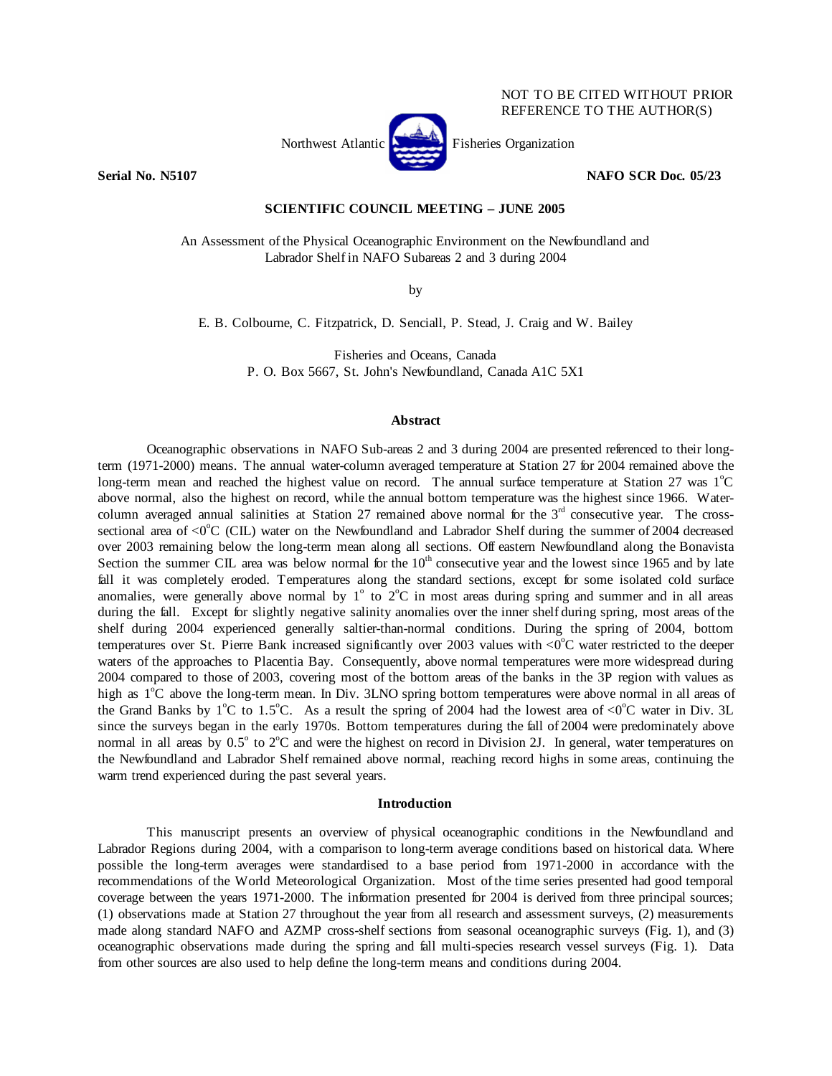

**Serial No. N5107 NAFO SCR Doc. 05/23** 

## **SCIENTIFIC COUNCIL MEETING – JUNE 2005**

An Assessment of the Physical Oceanographic Environment on the Newfoundland and Labrador Shelf in NAFO Subareas 2 and 3 during 2004

by

E. B. Colbourne, C. Fitzpatrick, D. Senciall, P. Stead, J. Craig and W. Bailey

Fisheries and Oceans, Canada P. O. Box 5667, St. John's Newfoundland, Canada A1C 5X1

#### **Abstract**

 Oceanographic observations in NAFO Sub-areas 2 and 3 during 2004 are presented referenced to their longterm (1971-2000) means. The annual water-column averaged temperature at Station 27 for 2004 remained above the long-term mean and reached the highest value on record. The annual surface temperature at Station 27 was  $1^{\circ}$ C above normal, also the highest on record, while the annual bottom temperature was the highest since 1966. Watercolumn averaged annual salinities at Station 27 remained above normal for the  $3<sup>rd</sup>$  consecutive year. The crosssectional area of  $\rm{<}0^{\circ}C$  (CIL) water on the Newfoundland and Labrador Shelf during the summer of 2004 decreased over 2003 remaining below the long-term mean along all sections. Off eastern Newfoundland along the Bonavista Section the summer CIL area was below normal for the  $10<sup>th</sup>$  consecutive year and the lowest since 1965 and by late fall it was completely eroded. Temperatures along the standard sections, except for some isolated cold surface anomalies, were generally above normal by  $1^{\circ}$  to  $2^{\circ}C$  in most areas during spring and summer and in all areas during the fall. Except for slightly negative salinity anomalies over the inner shelf during spring, most areas of the shelf during 2004 experienced generally saltier-than-normal conditions. During the spring of 2004, bottom temperatures over St. Pierre Bank increased significantly over 2003 values with  $\langle 0^{\circ}$ C water restricted to the deeper waters of the approaches to Placentia Bay. Consequently, above normal temperatures were more widespread during 2004 compared to those of 2003, covering most of the bottom areas of the banks in the 3P region with values as high as  $1^{\circ}$ C above the long-term mean. In Div. 3LNO spring bottom temperatures were above normal in all areas of the Grand Banks by  $1^{\circ}$ C to 1.5<sup>o</sup>C. As a result the spring of 2004 had the lowest area of <0<sup>o</sup>C water in Div. 3L since the surveys began in the early 1970s. Bottom temperatures during the fall of 2004 were predominately above normal in all areas by  $0.5^{\circ}$  to  $2^{\circ}$ C and were the highest on record in Division 2J. In general, water temperatures on the Newfoundland and Labrador Shelf remained above normal, reaching record highs in some areas, continuing the warm trend experienced during the past several years.

#### **Introduction**

 This manuscript presents an overview of physical oceanographic conditions in the Newfoundland and Labrador Regions during 2004, with a comparison to long-term average conditions based on historical data. Where possible the long-term averages were standardised to a base period from 1971-2000 in accordance with the recommendations of the World Meteorological Organization. Most of the time series presented had good temporal coverage between the years 1971-2000. The information presented for 2004 is derived from three principal sources; (1) observations made at Station 27 throughout the year from all research and assessment surveys, (2) measurements made along standard NAFO and AZMP cross-shelf sections from seasonal oceanographic surveys (Fig. 1), and (3) oceanographic observations made during the spring and fall multi-species research vessel surveys (Fig. 1). Data from other sources are also used to help define the long-term means and conditions during 2004.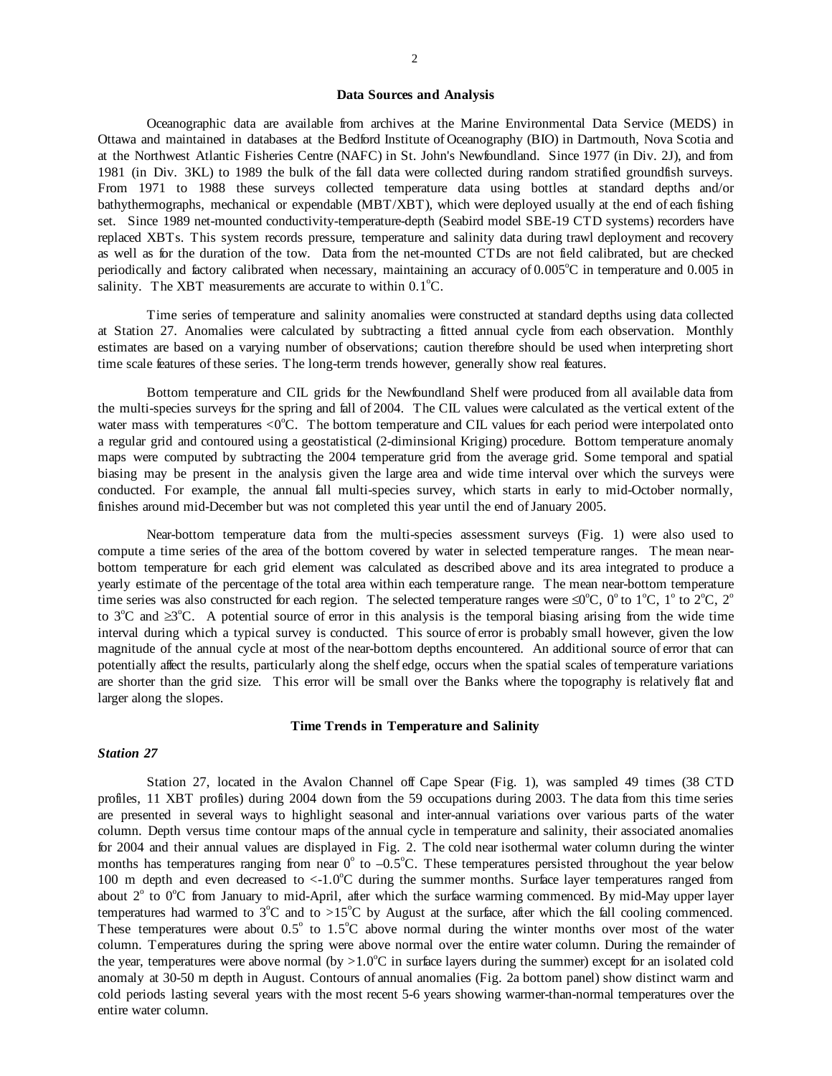#### **Data Sources and Analysis**

Oceanographic data are available from archives at the Marine Environmental Data Service (MEDS) in Ottawa and maintained in databases at the Bedford Institute of Oceanography (BIO) in Dartmouth, Nova Scotia and at the Northwest Atlantic Fisheries Centre (NAFC) in St. John's Newfoundland. Since 1977 (in Div. 2J), and from 1981 (in Div. 3KL) to 1989 the bulk of the fall data were collected during random stratified groundfish surveys. From 1971 to 1988 these surveys collected temperature data using bottles at standard depths and/or bathythermographs, mechanical or expendable (MBT/XBT), which were deployed usually at the end of each fishing set. Since 1989 net-mounted conductivity-temperature-depth (Seabird model SBE-19 CTD systems) recorders have replaced XBTs. This system records pressure, temperature and salinity data during trawl deployment and recovery as well as for the duration of the tow. Data from the net-mounted CTDs are not field calibrated, but are checked periodically and factory calibrated when necessary, maintaining an accuracy of  $0.005^{\circ}$ C in temperature and  $0.005$  in salinity. The XBT measurements are accurate to within  $0.1^{\circ}$ C.

 Time series of temperature and salinity anomalies were constructed at standard depths using data collected at Station 27. Anomalies were calculated by subtracting a fitted annual cycle from each observation. Monthly estimates are based on a varying number of observations; caution therefore should be used when interpreting short time scale features of these series. The long-term trends however, generally show real features.

 Bottom temperature and CIL grids for the Newfoundland Shelf were produced from all available data from the multi-species surveys for the spring and fall of 2004. The CIL values were calculated as the vertical extent of the water mass with temperatures  $< 0$ <sup>o</sup>C. The bottom temperature and CIL values for each period were interpolated onto a regular grid and contoured using a geostatistical (2-diminsional Kriging) procedure. Bottom temperature anomaly maps were computed by subtracting the 2004 temperature grid from the average grid. Some temporal and spatial biasing may be present in the analysis given the large area and wide time interval over which the surveys were conducted. For example, the annual fall multi-species survey, which starts in early to mid-October normally, finishes around mid-December but was not completed this year until the end of January 2005.

Near-bottom temperature data from the multi-species assessment surveys (Fig. 1) were also used to compute a time series of the area of the bottom covered by water in selected temperature ranges. The mean nearbottom temperature for each grid element was calculated as described above and its area integrated to produce a yearly estimate of the percentage of the total area within each temperature range. The mean near-bottom temperature time series was also constructed for each region. The selected temperature ranges were  $\leq 0^{\circ}$ C,  $0^{\circ}$  to  $1^{\circ}$ C,  $1^{\circ}$  to  $2^{\circ}$ C,  $2^{\circ}$ to 3<sup>o</sup>C and  $\geq 3^{\circ}$ C. A potential source of error in this analysis is the temporal biasing arising from the wide time interval during which a typical survey is conducted. This source of error is probably small however, given the low magnitude of the annual cycle at most of the near-bottom depths encountered. An additional source of error that can potentially affect the results, particularly along the shelf edge, occurs when the spatial scales of temperature variations are shorter than the grid size. This error will be small over the Banks where the topography is relatively flat and larger along the slopes.

#### **Time Trends in Temperature and Salinity**

## *Station 27*

 Station 27, located in the Avalon Channel off Cape Spear (Fig. 1), was sampled 49 times (38 CTD profiles, 11 XBT profiles) during 2004 down from the 59 occupations during 2003. The data from this time series are presented in several ways to highlight seasonal and inter-annual variations over various parts of the water column. Depth versus time contour maps of the annual cycle in temperature and salinity, their associated anomalies for 2004 and their annual values are displayed in Fig. 2. The cold near isothermal water column during the winter months has temperatures ranging from near  $0^{\circ}$  to  $-0.5^{\circ}$ C. These temperatures persisted throughout the year below 100 m depth and even decreased to <-1.0°C during the summer months. Surface layer temperatures ranged from about 2<sup>°</sup> to 0<sup>°</sup>C from January to mid-April, after which the surface warming commenced. By mid-May upper layer temperatures had warmed to  $3^{\circ}$ C and to >15 $^{\circ}$ C by August at the surface, after which the fall cooling commenced. These temperatures were about  $0.5^{\circ}$  to  $1.5^{\circ}$ C above normal during the winter months over most of the water column. Temperatures during the spring were above normal over the entire water column. During the remainder of the year, temperatures were above normal (by  $>1.0^{\circ}$ C in surface layers during the summer) except for an isolated cold anomaly at 30-50 m depth in August. Contours of annual anomalies (Fig. 2a bottom panel) show distinct warm and cold periods lasting several years with the most recent 5-6 years showing warmer-than-normal temperatures over the entire water column.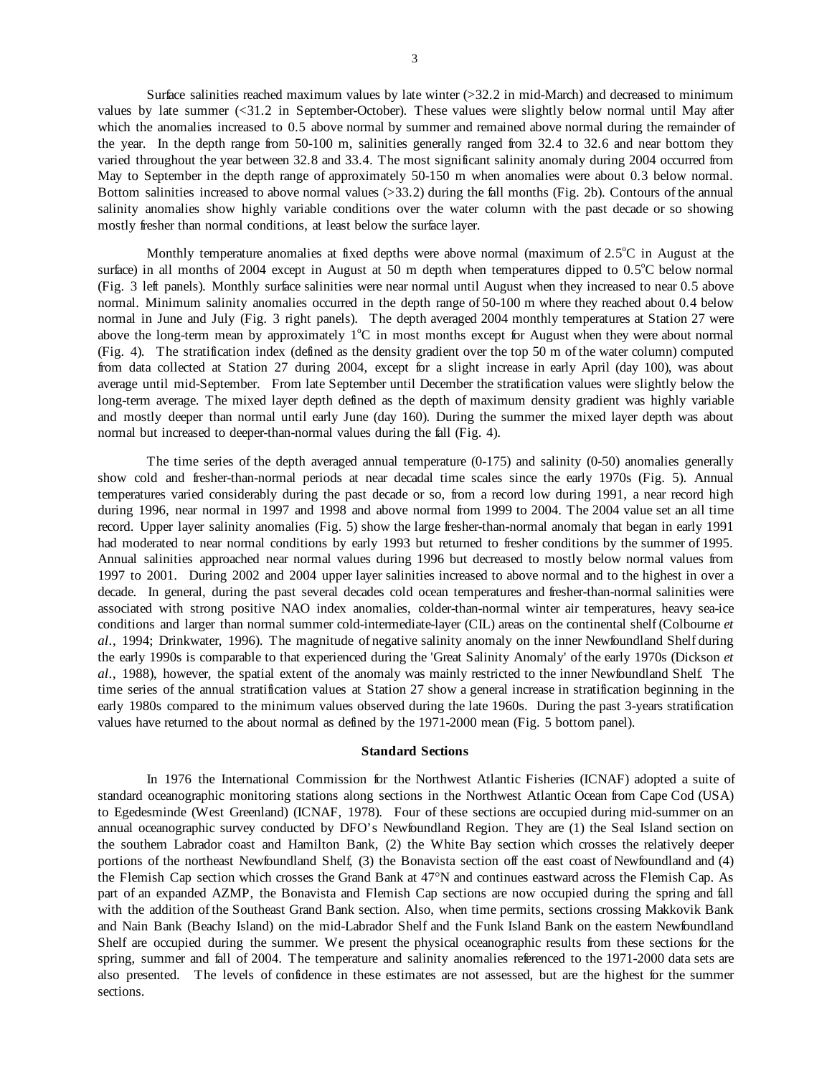Surface salinities reached maximum values by late winter  $(>32.2$  in mid-March) and decreased to minimum values by late summer (<31.2 in September-October). These values were slightly below normal until May after which the anomalies increased to 0.5 above normal by summer and remained above normal during the remainder of the year. In the depth range from 50-100 m, salinities generally ranged from 32.4 to 32.6 and near bottom they varied throughout the year between 32.8 and 33.4. The most significant salinity anomaly during 2004 occurred from May to September in the depth range of approximately 50-150 m when anomalies were about 0.3 below normal. Bottom salinities increased to above normal values (>33.2) during the fall months (Fig. 2b). Contours of the annual salinity anomalies show highly variable conditions over the water column with the past decade or so showing mostly fresher than normal conditions, at least below the surface layer.

Monthly temperature anomalies at fixed depths were above normal (maximum of  $2.5^{\circ}$ C in August at the surface) in all months of 2004 except in August at 50 m depth when temperatures dipped to  $0.5^{\circ}$ C below normal (Fig. 3 left panels). Monthly surface salinities were near normal until August when they increased to near 0.5 above normal. Minimum salinity anomalies occurred in the depth range of 50-100 m where they reached about 0.4 below normal in June and July (Fig. 3 right panels). The depth averaged 2004 monthly temperatures at Station 27 were above the long-term mean by approximately  $1^{\circ}C$  in most months except for August when they were about normal (Fig. 4). The stratification index (defined as the density gradient over the top 50 m of the water column) computed from data collected at Station 27 during 2004, except for a slight increase in early April (day 100), was about average until mid-September. From late September until December the stratification values were slightly below the long-term average. The mixed layer depth defined as the depth of maximum density gradient was highly variable and mostly deeper than normal until early June (day 160). During the summer the mixed layer depth was about normal but increased to deeper-than-normal values during the fall (Fig. 4).

 The time series of the depth averaged annual temperature (0-175) and salinity (0-50) anomalies generally show cold and fresher-than-normal periods at near decadal time scales since the early 1970s (Fig. 5). Annual temperatures varied considerably during the past decade or so, from a record low during 1991, a near record high during 1996, near normal in 1997 and 1998 and above normal from 1999 to 2004. The 2004 value set an all time record. Upper layer salinity anomalies (Fig. 5) show the large fresher-than-normal anomaly that began in early 1991 had moderated to near normal conditions by early 1993 but returned to fresher conditions by the summer of 1995. Annual salinities approached near normal values during 1996 but decreased to mostly below normal values from 1997 to 2001. During 2002 and 2004 upper layer salinities increased to above normal and to the highest in over a decade. In general, during the past several decades cold ocean temperatures and fresher-than-normal salinities were associated with strong positive NAO index anomalies, colder-than-normal winter air temperatures, heavy sea-ice conditions and larger than normal summer cold-intermediate-layer (CIL) areas on the continental shelf (Colbourne *et al*., 1994; Drinkwater, 1996). The magnitude of negative salinity anomaly on the inner Newfoundland Shelf during the early 1990s is comparable to that experienced during the 'Great Salinity Anomaly' of the early 1970s (Dickson *et al*., 1988), however, the spatial extent of the anomaly was mainly restricted to the inner Newfoundland Shelf. The time series of the annual stratification values at Station 27 show a general increase in stratification beginning in the early 1980s compared to the minimum values observed during the late 1960s. During the past 3-years stratification values have returned to the about normal as defined by the 1971-2000 mean (Fig. 5 bottom panel).

#### **Standard Sections**

In 1976 the International Commission for the Northwest Atlantic Fisheries (ICNAF) adopted a suite of standard oceanographic monitoring stations along sections in the Northwest Atlantic Ocean from Cape Cod (USA) to Egedesminde (West Greenland) (ICNAF, 1978). Four of these sections are occupied during mid-summer on an annual oceanographic survey conducted by DFO's Newfoundland Region. They are (1) the Seal Island section on the southern Labrador coast and Hamilton Bank, (2) the White Bay section which crosses the relatively deeper portions of the northeast Newfoundland Shelf, (3) the Bonavista section off the east coast of Newfoundland and (4) the Flemish Cap section which crosses the Grand Bank at 47°N and continues eastward across the Flemish Cap. As part of an expanded AZMP, the Bonavista and Flemish Cap sections are now occupied during the spring and fall with the addition of the Southeast Grand Bank section. Also, when time permits, sections crossing Makkovik Bank and Nain Bank (Beachy Island) on the mid-Labrador Shelf and the Funk Island Bank on the eastern Newfoundland Shelf are occupied during the summer. We present the physical oceanographic results from these sections for the spring, summer and fall of 2004. The temperature and salinity anomalies referenced to the 1971-2000 data sets are also presented. The levels of confidence in these estimates are not assessed, but are the highest for the summer sections.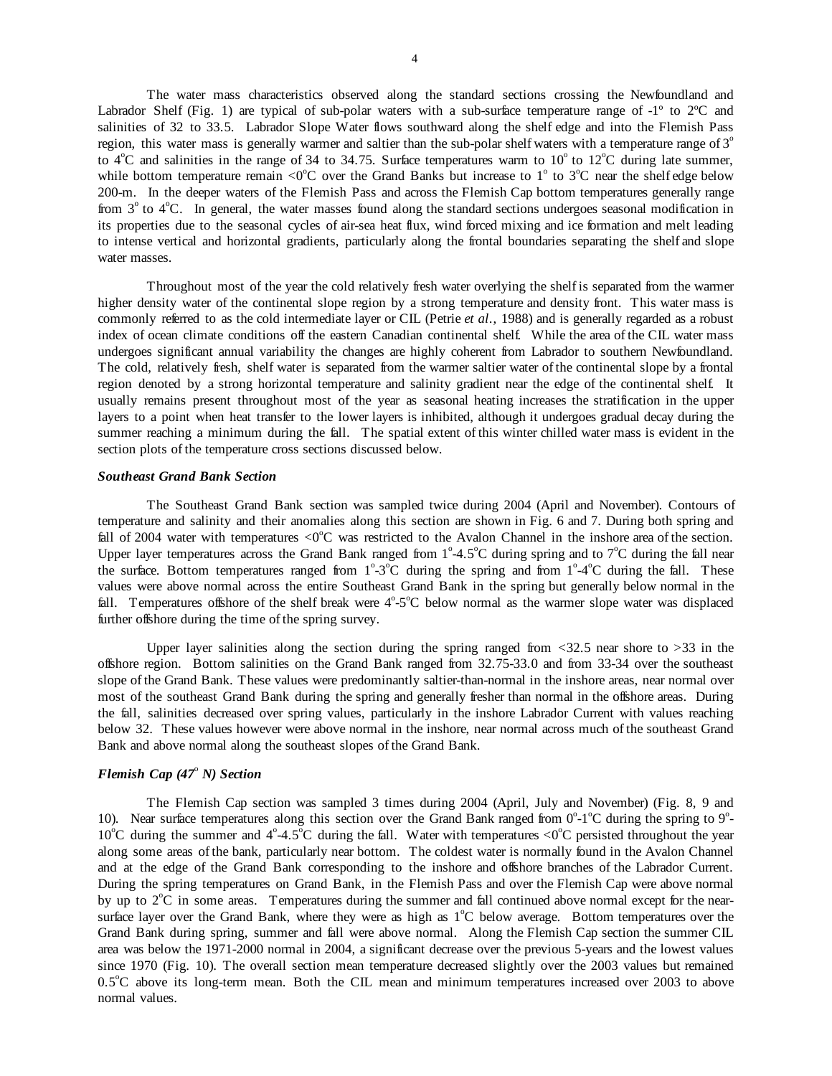The water mass characteristics observed along the standard sections crossing the Newfoundland and Labrador Shelf (Fig. 1) are typical of sub-polar waters with a sub-surface temperature range of -1<sup>°</sup> to 2<sup>°</sup>C and salinities of 32 to 33.5. Labrador Slope Water flows southward along the shelf edge and into the Flemish Pass region, this water mass is generally warmer and saltier than the sub-polar shelf waters with a temperature range of 3<sup>o</sup> to  $4^{\circ}$ C and salinities in the range of 34 to 34.75. Surface temperatures warm to  $10^{\circ}$  to  $12^{\circ}$ C during late summer, while bottom temperature remain <0 $^{\circ}$ C over the Grand Banks but increase to 1 $^{\circ}$  to 3 $^{\circ}$ C near the shelf edge below 200-m. In the deeper waters of the Flemish Pass and across the Flemish Cap bottom temperatures generally range from 3<sup>°</sup> to 4<sup>°</sup>C. In general, the water masses found along the standard sections undergoes seasonal modification in its properties due to the seasonal cycles of air-sea heat flux, wind forced mixing and ice formation and melt leading to intense vertical and horizontal gradients, particularly along the frontal boundaries separating the shelf and slope water masses.

 Throughout most of the year the cold relatively fresh water overlying the shelf is separated from the warmer higher density water of the continental slope region by a strong temperature and density front. This water mass is commonly referred to as the cold intermediate layer or CIL (Petrie *et al*., 1988) and is generally regarded as a robust index of ocean climate conditions off the eastern Canadian continental shelf. While the area of the CIL water mass undergoes significant annual variability the changes are highly coherent from Labrador to southern Newfoundland. The cold, relatively fresh, shelf water is separated from the warmer saltier water of the continental slope by a frontal region denoted by a strong horizontal temperature and salinity gradient near the edge of the continental shelf. It usually remains present throughout most of the year as seasonal heating increases the stratification in the upper layers to a point when heat transfer to the lower layers is inhibited, although it undergoes gradual decay during the summer reaching a minimum during the fall. The spatial extent of this winter chilled water mass is evident in the section plots of the temperature cross sections discussed below.

## *Southeast Grand Bank Section*

 The Southeast Grand Bank section was sampled twice during 2004 (April and November). Contours of temperature and salinity and their anomalies along this section are shown in Fig. 6 and 7. During both spring and fall of 2004 water with temperatures  $\langle 0^{\circ}$ C was restricted to the Avalon Channel in the inshore area of the section. Upper layer temperatures across the Grand Bank ranged from  $1^{\circ}$ -4.5°C during spring and to  $7^{\circ}$ C during the fall near the surface. Bottom temperatures ranged from  $1^{\circ} \text{-} 3^{\circ}C$  during the spring and from  $1^{\circ} \text{-} 4^{\circ}C$  during the fall. These values were above normal across the entire Southeast Grand Bank in the spring but generally below normal in the fall. Temperatures offshore of the shelf break were  $4^{\circ}$ -5 $^{\circ}$ C below normal as the warmer slope water was displaced further offshore during the time of the spring survey.

Upper layer salinities along the section during the spring ranged from  $\langle 32.5 \rangle$  near shore to  $>33$  in the offshore region. Bottom salinities on the Grand Bank ranged from 32.75-33.0 and from 33-34 over the southeast slope of the Grand Bank. These values were predominantly saltier-than-normal in the inshore areas, near normal over most of the southeast Grand Bank during the spring and generally fresher than normal in the offshore areas. During the fall, salinities decreased over spring values, particularly in the inshore Labrador Current with values reaching below 32. These values however were above normal in the inshore, near normal across much of the southeast Grand Bank and above normal along the southeast slopes of the Grand Bank.

# *Flemish Cap (47<sup>°</sup> N) Section*

 The Flemish Cap section was sampled 3 times during 2004 (April, July and November) (Fig. 8, 9 and 10). Near surface temperatures along this section over the Grand Bank ranged from  $0^{\circ}$ -1°C during the spring to  $9^{\circ}$ -10°C during the summer and  $4^{\circ}$ -4.5°C during the fall. Water with temperatures <0°C persisted throughout the year along some areas of the bank, particularly near bottom. The coldest water is normally found in the Avalon Channel and at the edge of the Grand Bank corresponding to the inshore and offshore branches of the Labrador Current. During the spring temperatures on Grand Bank, in the Flemish Pass and over the Flemish Cap were above normal by up to  $2^{\circ}$ C in some areas. Temperatures during the summer and fall continued above normal except for the nearsurface layer over the Grand Bank, where they were as high as 1°C below average. Bottom temperatures over the Grand Bank during spring, summer and fall were above normal. Along the Flemish Cap section the summer CIL area was below the 1971-2000 normal in 2004, a significant decrease over the previous 5-years and the lowest values since 1970 (Fig. 10). The overall section mean temperature decreased slightly over the 2003 values but remained 0.5°C above its long-term mean. Both the CIL mean and minimum temperatures increased over 2003 to above normal values.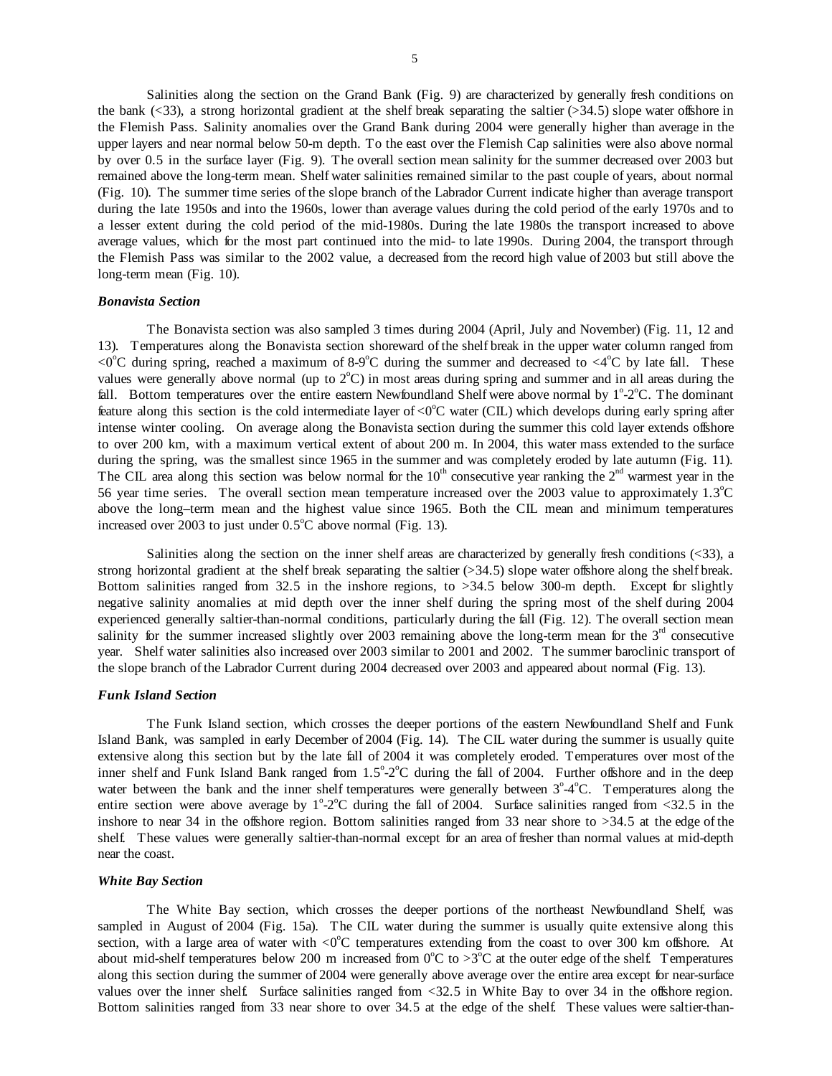Salinities along the section on the Grand Bank (Fig. 9) are characterized by generally fresh conditions on the bank ( $\leq$ 33), a strong horizontal gradient at the shelf break separating the saltier ( $\geq$ 34.5) slope water offshore in the Flemish Pass. Salinity anomalies over the Grand Bank during 2004 were generally higher than average in the upper layers and near normal below 50-m depth. To the east over the Flemish Cap salinities were also above normal by over 0.5 in the surface layer (Fig. 9). The overall section mean salinity for the summer decreased over 2003 but remained above the long-term mean. Shelf water salinities remained similar to the past couple of years, about normal (Fig. 10). The summer time series of the slope branch of the Labrador Current indicate higher than average transport during the late 1950s and into the 1960s, lower than average values during the cold period of the early 1970s and to a lesser extent during the cold period of the mid-1980s. During the late 1980s the transport increased to above average values, which for the most part continued into the mid- to late 1990s. During 2004, the transport through the Flemish Pass was similar to the 2002 value, a decreased from the record high value of 2003 but still above the long-term mean (Fig. 10).

#### *Bonavista Section*

 The Bonavista section was also sampled 3 times during 2004 (April, July and November) (Fig. 11, 12 and 13). Temperatures along the Bonavista section shoreward of the shelf break in the upper water column ranged from <0°C during spring, reached a maximum of 8-9°C during the summer and decreased to <4°C by late fall. These values were generally above normal (up to  $2^{\circ}$ C) in most areas during spring and summer and in all areas during the fall. Bottom temperatures over the entire eastern Newfoundland Shelf were above normal by  $1^{\circ}$ -2 $^{\circ}$ C. The dominant feature along this section is the cold intermediate layer of <0 $^{\circ}$ C water (CIL) which develops during early spring after intense winter cooling. On average along the Bonavista section during the summer this cold layer extends offshore to over 200 km, with a maximum vertical extent of about 200 m. In 2004, this water mass extended to the surface during the spring, was the smallest since 1965 in the summer and was completely eroded by late autumn (Fig. 11). The CIL area along this section was below normal for the  $10<sup>th</sup>$  consecutive year ranking the  $2<sup>nd</sup>$  warmest year in the 56 year time series. The overall section mean temperature increased over the 2003 value to approximately  $1.3^{\circ}$ C above the long–term mean and the highest value since 1965. Both the CIL mean and minimum temperatures increased over 2003 to just under  $0.5^{\circ}$ C above normal (Fig. 13).

 Salinities along the section on the inner shelf areas are characterized by generally fresh conditions (<33), a strong horizontal gradient at the shelf break separating the saltier (>34.5) slope water offshore along the shelf break. Bottom salinities ranged from 32.5 in the inshore regions, to  $>34.5$  below 300-m depth. Except for slightly negative salinity anomalies at mid depth over the inner shelf during the spring most of the shelf during 2004 experienced generally saltier-than-normal conditions, particularly during the fall (Fig. 12). The overall section mean salinity for the summer increased slightly over 2003 remaining above the long-term mean for the  $3<sup>rd</sup>$  consecutive year. Shelf water salinities also increased over 2003 similar to 2001 and 2002. The summer baroclinic transport of the slope branch of the Labrador Current during 2004 decreased over 2003 and appeared about normal (Fig. 13).

#### *Funk Island Section*

 The Funk Island section, which crosses the deeper portions of the eastern Newfoundland Shelf and Funk Island Bank, was sampled in early December of 2004 (Fig. 14). The CIL water during the summer is usually quite extensive along this section but by the late fall of 2004 it was completely eroded. Temperatures over most of the inner shelf and Funk Island Bank ranged from  $1.5^{\circ}$ -2 $^{\circ}$ C during the fall of 2004. Further offshore and in the deep water between the bank and the inner shelf temperatures were generally between  $3^{\circ}4^{\circ}C$ . Temperatures along the entire section were above average by  $1^{\circ} \text{-} 2^{\circ}$ C during the fall of 2004. Surface salinities ranged from <32.5 in the inshore to near 34 in the offshore region. Bottom salinities ranged from 33 near shore to >34.5 at the edge of the shelf. These values were generally saltier-than-normal except for an area of fresher than normal values at mid-depth near the coast.

#### *White Bay Section*

 The White Bay section, which crosses the deeper portions of the northeast Newfoundland Shelf, was sampled in August of 2004 (Fig. 15a). The CIL water during the summer is usually quite extensive along this section, with a large area of water with  $\langle 0^{\circ}C \rangle$  temperatures extending from the coast to over 300 km offshore. At about mid-shelf temperatures below 200 m increased from  $0^{\circ}C$  to  $>3^{\circ}C$  at the outer edge of the shelf. Temperatures along this section during the summer of 2004 were generally above average over the entire area except for near-surface values over the inner shelf. Surface salinities ranged from <32.5 in White Bay to over 34 in the offshore region. Bottom salinities ranged from 33 near shore to over 34.5 at the edge of the shelf. These values were saltier-than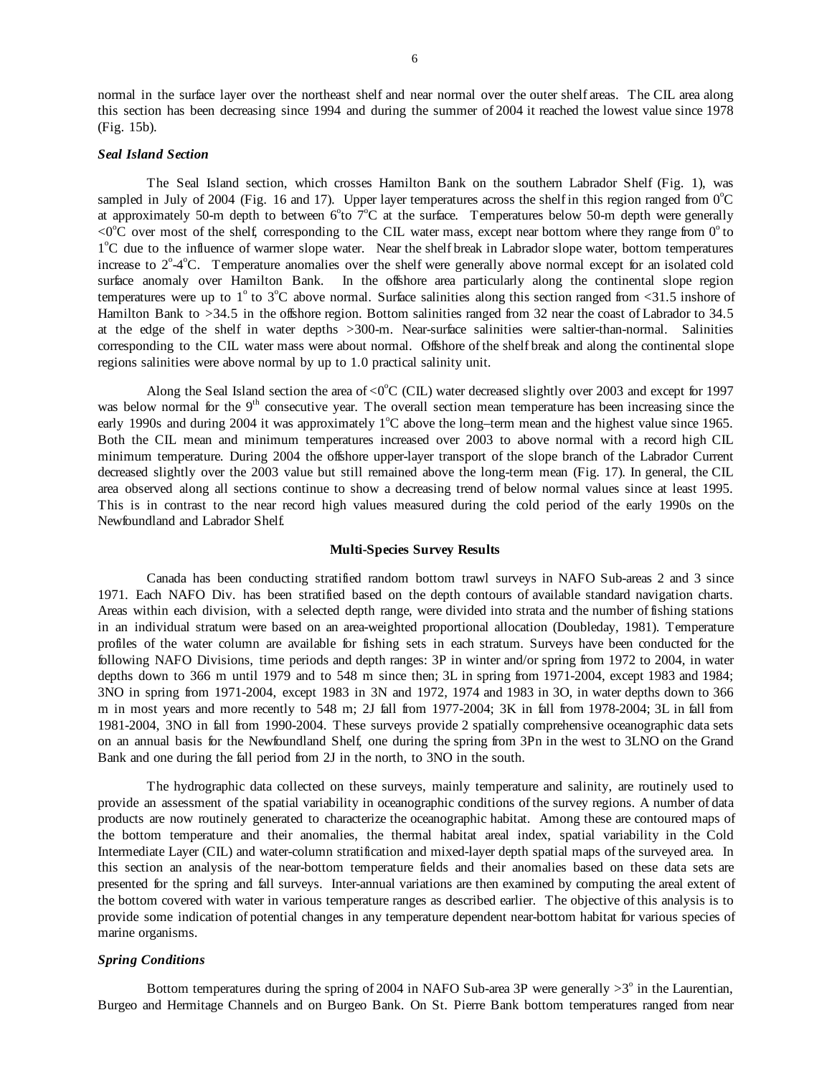normal in the surface layer over the northeast shelf and near normal over the outer shelf areas. The CIL area along this section has been decreasing since 1994 and during the summer of 2004 it reached the lowest value since 1978 (Fig. 15b).

### *Seal Island Section*

 The Seal Island section, which crosses Hamilton Bank on the southern Labrador Shelf (Fig. 1), was sampled in July of 2004 (Fig. 16 and 17). Upper layer temperatures across the shelf in this region ranged from  $0^{\circ}$ C at approximately 50-m depth to between  $6^{\circ}$ to  $7^{\circ}$ C at the surface. Temperatures below 50-m depth were generally  $\rm{<}0^{\circ}C$  over most of the shelf, corresponding to the CIL water mass, except near bottom where they range from  $0^{\circ}$  to 1<sup>°</sup>C due to the influence of warmer slope water. Near the shelf break in Labrador slope water, bottom temperatures increase to 2°-4°C. Temperature anomalies over the shelf were generally above normal except for an isolated cold surface anomaly over Hamilton Bank. In the offshore area particularly along the continental slope region temperatures were up to  $1^{\circ}$  to  $3^{\circ}$ C above normal. Surface salinities along this section ranged from <31.5 inshore of Hamilton Bank to >34.5 in the offshore region. Bottom salinities ranged from 32 near the coast of Labrador to 34.5 at the edge of the shelf in water depths >300-m. Near-surface salinities were saltier-than-normal. Salinities corresponding to the CIL water mass were about normal. Offshore of the shelf break and along the continental slope regions salinities were above normal by up to 1.0 practical salinity unit.

Along the Seal Island section the area of <0 $^{\circ}$ C (CIL) water decreased slightly over 2003 and except for 1997 was below normal for the  $9<sup>th</sup>$  consecutive year. The overall section mean temperature has been increasing since the early 1990s and during 2004 it was approximately  $1^{\circ}$ C above the long-term mean and the highest value since 1965. Both the CIL mean and minimum temperatures increased over 2003 to above normal with a record high CIL minimum temperature. During 2004 the offshore upper-layer transport of the slope branch of the Labrador Current decreased slightly over the 2003 value but still remained above the long-term mean (Fig. 17). In general, the CIL area observed along all sections continue to show a decreasing trend of below normal values since at least 1995. This is in contrast to the near record high values measured during the cold period of the early 1990s on the Newfoundland and Labrador Shelf.

### **Multi-Species Survey Results**

 Canada has been conducting stratified random bottom trawl surveys in NAFO Sub-areas 2 and 3 since 1971. Each NAFO Div. has been stratified based on the depth contours of available standard navigation charts. Areas within each division, with a selected depth range, were divided into strata and the number of fishing stations in an individual stratum were based on an area-weighted proportional allocation (Doubleday, 1981). Temperature profiles of the water column are available for fishing sets in each stratum. Surveys have been conducted for the following NAFO Divisions, time periods and depth ranges: 3P in winter and/or spring from 1972 to 2004, in water depths down to 366 m until 1979 and to 548 m since then; 3L in spring from 1971-2004, except 1983 and 1984; 3NO in spring from 1971-2004, except 1983 in 3N and 1972, 1974 and 1983 in 3O, in water depths down to 366 m in most years and more recently to 548 m; 2J fall from 1977-2004; 3K in fall from 1978-2004; 3L in fall from 1981-2004, 3NO in fall from 1990-2004. These surveys provide 2 spatially comprehensive oceanographic data sets on an annual basis for the Newfoundland Shelf, one during the spring from 3Pn in the west to 3LNO on the Grand Bank and one during the fall period from 2J in the north, to 3NO in the south.

The hydrographic data collected on these surveys, mainly temperature and salinity, are routinely used to provide an assessment of the spatial variability in oceanographic conditions of the survey regions. A number of data products are now routinely generated to characterize the oceanographic habitat. Among these are contoured maps of the bottom temperature and their anomalies, the thermal habitat areal index, spatial variability in the Cold Intermediate Layer (CIL) and water-column stratification and mixed-layer depth spatial maps of the surveyed area. In this section an analysis of the near-bottom temperature fields and their anomalies based on these data sets are presented for the spring and fall surveys. Inter-annual variations are then examined by computing the areal extent of the bottom covered with water in various temperature ranges as described earlier. The objective of this analysis is to provide some indication of potential changes in any temperature dependent near-bottom habitat for various species of marine organisms.

### *Spring Conditions*

Bottom temperatures during the spring of 2004 in NAFO Sub-area 3P were generally  $>3^\circ$  in the Laurentian, Burgeo and Hermitage Channels and on Burgeo Bank. On St. Pierre Bank bottom temperatures ranged from near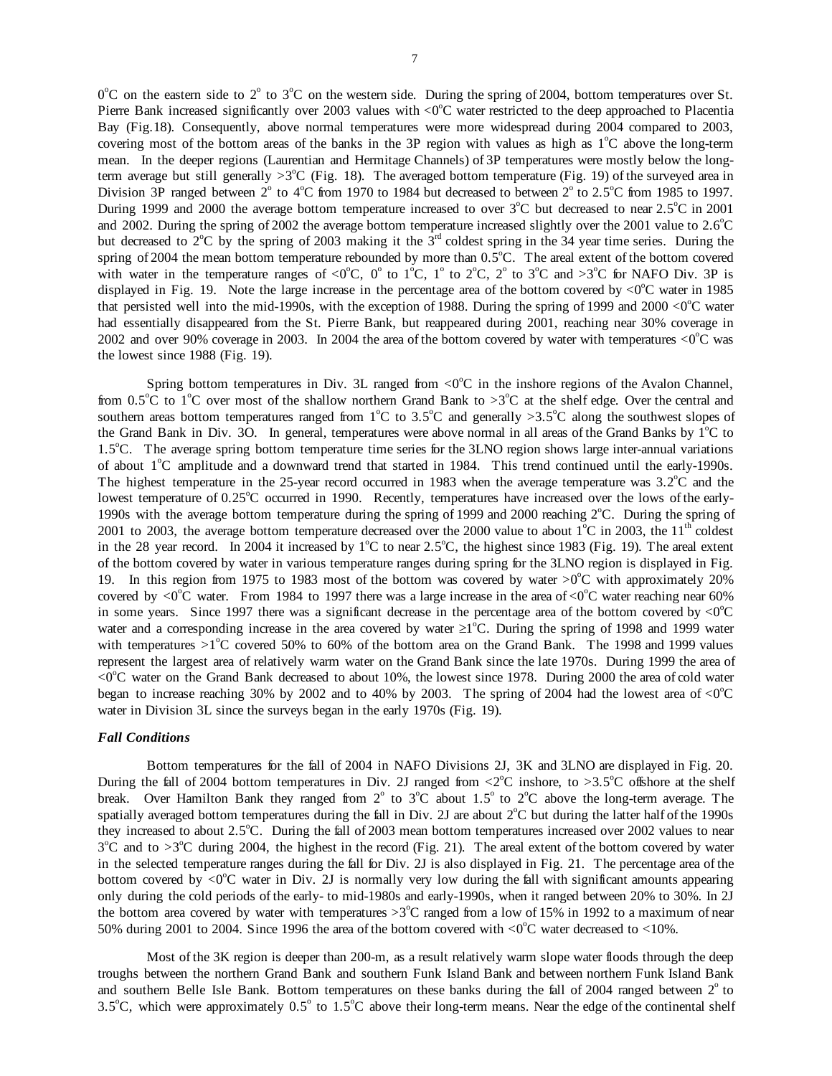$0^{\circ}$ C on the eastern side to  $2^{\circ}$  to  $3^{\circ}$ C on the western side. During the spring of 2004, bottom temperatures over St. Pierre Bank increased significantly over 2003 values with  $\langle 0^{\circ}C \rangle$  water restricted to the deep approached to Placentia Bay (Fig.18). Consequently, above normal temperatures were more widespread during 2004 compared to 2003, covering most of the bottom areas of the banks in the 3P region with values as high as  $1^{\circ}$ C above the long-term mean. In the deeper regions (Laurentian and Hermitage Channels) of 3P temperatures were mostly below the longterm average but still generally  $>3^{\circ}$ C (Fig. 18). The averaged bottom temperature (Fig. 19) of the surveyed area in Division 3P ranged between  $2^{\circ}$  to 4°C from 1970 to 1984 but decreased to between  $2^{\circ}$  to 2.5°C from 1985 to 1997. During 1999 and 2000 the average bottom temperature increased to over  $3^{\circ}$ C but decreased to near  $2.5^{\circ}$ C in 2001 and 2002. During the spring of 2002 the average bottom temperature increased slightly over the 2001 value to  $2.6^{\circ}$ C but decreased to  $2^{\circ}$ C by the spring of 2003 making it the  $3^{\text{rd}}$  coldest spring in the 34 year time series. During the spring of 2004 the mean bottom temperature rebounded by more than  $0.5^{\circ}$ C. The areal extent of the bottom covered with water in the temperature ranges of <0°C, 0° to 1°C, 1° to 2°C, 2° to 3°C and >3°C for NAFO Div. 3P is displayed in Fig. 19. Note the large increase in the percentage area of the bottom covered by  $\langle 0^{\circ}$ C water in 1985 that persisted well into the mid-1990s, with the exception of 1988. During the spring of 1999 and 2000  $\lt 0^\circ$ C water had essentially disappeared from the St. Pierre Bank, but reappeared during 2001, reaching near 30% coverage in 2002 and over 90% coverage in 2003. In 2004 the area of the bottom covered by water with temperatures  $<0$ °C was the lowest since 1988 (Fig. 19).

Spring bottom temperatures in Div. 3L ranged from  $\langle 0^{\circ}C \rangle$  in the inshore regions of the Avalon Channel, from 0.5<sup>o</sup>C to 1<sup>o</sup>C over most of the shallow northern Grand Bank to >3<sup>o</sup>C at the shelf edge. Over the central and southern areas bottom temperatures ranged from  $1^{\circ}$ C to 3.5<sup>o</sup>C and generally >3.5<sup>o</sup>C along the southwest slopes of the Grand Bank in Div. 3O. In general, temperatures were above normal in all areas of the Grand Banks by  $1^{\circ}$ C to 1.5<sup>o</sup>C. The average spring bottom temperature time series for the 3LNO region shows large inter-annual variations of about 1<sup>o</sup>C amplitude and a downward trend that started in 1984. This trend continued until the early-1990s. The highest temperature in the 25-year record occurred in 1983 when the average temperature was  $3.2^{\circ}$ C and the lowest temperature of 0.25°C occurred in 1990. Recently, temperatures have increased over the lows of the early-1990s with the average bottom temperature during the spring of 1999 and 2000 reaching  $2^{\circ}$ C. During the spring of 2001 to 2003, the average bottom temperature decreased over the 2000 value to about  $1^{\circ}$ C in 2003, the  $11^{\text{th}}$  coldest in the 28 year record. In 2004 it increased by  $1^{\circ}$ C to near 2.5<sup>o</sup>C, the highest since 1983 (Fig. 19). The areal extent of the bottom covered by water in various temperature ranges during spring for the 3LNO region is displayed in Fig. 19. In this region from 1975 to 1983 most of the bottom was covered by water  $>0^{\circ}$ C with approximately 20% covered by  $\langle 0^{\circ}$ C water. From 1984 to 1997 there was a large increase in the area of  $\langle 0^{\circ}$ C water reaching near 60% in some years. Since 1997 there was a significant decrease in the percentage area of the bottom covered by  $\langle 0^{\circ}C \rangle$ water and a corresponding increase in the area covered by water  $\geq 1^{\circ}$ C. During the spring of 1998 and 1999 water with temperatures  $>1^{\circ}$ C covered 50% to 60% of the bottom area on the Grand Bank. The 1998 and 1999 values represent the largest area of relatively warm water on the Grand Bank since the late 1970s. During 1999 the area of  $<0$ <sup>o</sup>C water on the Grand Bank decreased to about 10%, the lowest since 1978. During 2000 the area of cold water began to increase reaching 30% by 2002 and to 40% by 2003. The spring of 2004 had the lowest area of  $\langle 0^{\circ}C \rangle$ water in Division 3L since the surveys began in the early 1970s (Fig. 19).

### *Fall Conditions*

 Bottom temperatures for the fall of 2004 in NAFO Divisions 2J, 3K and 3LNO are displayed in Fig. 20. During the fall of 2004 bottom temperatures in Div. 2J ranged from  $\langle 2^{\circ}$ C inshore, to  $>3.5^{\circ}$ C offshore at the shelf break. Over Hamilton Bank they ranged from  $2^{\circ}$  to  $3^{\circ}$ C about 1.5° to  $2^{\circ}$ C above the long-term average. The spatially averaged bottom temperatures during the fall in Div. 2J are about  $2^{\circ}C$  but during the latter half of the 1990s they increased to about 2.5°C. During the fall of 2003 mean bottom temperatures increased over 2002 values to near  $3^{\circ}$ C and to >3<sup>o</sup>C during 2004, the highest in the record (Fig. 21). The areal extent of the bottom covered by water in the selected temperature ranges during the fall for Div. 2J is also displayed in Fig. 21. The percentage area of the bottom covered by  $\langle 0^{\circ}$ C water in Div. 2J is normally very low during the fall with significant amounts appearing only during the cold periods of the early- to mid-1980s and early-1990s, when it ranged between 20% to 30%. In 2J the bottom area covered by water with temperatures  $>3^{\circ}$ C ranged from a low of 15% in 1992 to a maximum of near 50% during 2001 to 2004. Since 1996 the area of the bottom covered with  $\langle 0^{\circ}$ C water decreased to  $\langle 10 \rangle$ .

Most of the 3K region is deeper than 200-m, as a result relatively warm slope water floods through the deep troughs between the northern Grand Bank and southern Funk Island Bank and between northern Funk Island Bank and southern Belle Isle Bank. Bottom temperatures on these banks during the fall of 2004 ranged between  $2^\circ$  to 3.5°C, which were approximately  $0.5^{\circ}$  to  $1.5^{\circ}$ C above their long-term means. Near the edge of the continental shelf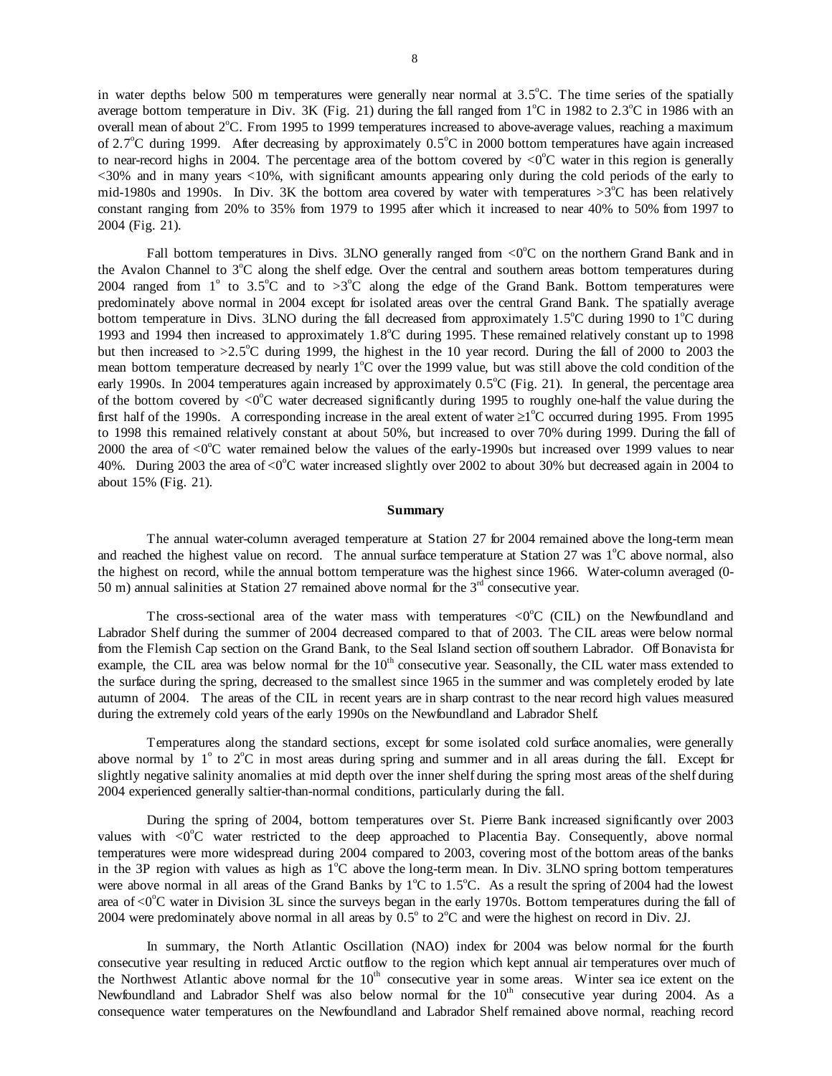in water depths below 500 m temperatures were generally near normal at  $3.5^{\circ}$ C. The time series of the spatially average bottom temperature in Div. 3K (Fig. 21) during the fall ranged from  $1^{\circ}$ C in 1982 to 2.3<sup>o</sup>C in 1986 with an overall mean of about 2°C. From 1995 to 1999 temperatures increased to above-average values, reaching a maximum of 2.7 $^{\circ}$ C during 1999. After decreasing by approximately 0.5 $^{\circ}$ C in 2000 bottom temperatures have again increased to near-record highs in 2004. The percentage area of the bottom covered by  $\langle 0^{\circ}$ C water in this region is generally <30% and in many years <10%, with significant amounts appearing only during the cold periods of the early to mid-1980s and 1990s. In Div. 3K the bottom area covered by water with temperatures  $>3^{\circ}$ C has been relatively constant ranging from 20% to 35% from 1979 to 1995 after which it increased to near 40% to 50% from 1997 to 2004 (Fig. 21).

Fall bottom temperatures in Divs. 3LNO generally ranged from  $\langle 0^{\circ}$ C on the northern Grand Bank and in the Avalon Channel to  $3^{\circ}$ C along the shelf edge. Over the central and southern areas bottom temperatures during 2004 ranged from 1<sup>°</sup> to 3.5<sup>o</sup>C and to >3<sup>o</sup>C along the edge of the Grand Bank. Bottom temperatures were predominately above normal in 2004 except for isolated areas over the central Grand Bank. The spatially average bottom temperature in Divs. 3LNO during the fall decreased from approximately  $1.5^{\circ}$ C during 1990 to 1<sup> $\circ$ </sup>C during 1993 and 1994 then increased to approximately 1.8°C during 1995. These remained relatively constant up to 1998 but then increased to  $>2.5^{\circ}$ C during 1999, the highest in the 10 year record. During the fall of 2000 to 2003 the mean bottom temperature decreased by nearly  $1^{\circ}$ C over the 1999 value, but was still above the cold condition of the early 1990s. In 2004 temperatures again increased by approximately  $0.5^{\circ}$ C (Fig. 21). In general, the percentage area of the bottom covered by  $\langle 0 \rangle^0$ C water decreased significantly during 1995 to roughly one-half the value during the first half of the 1990s. A corresponding increase in the areal extent of water  $\geq 1^{\circ}$ C occurred during 1995. From 1995 to 1998 this remained relatively constant at about 50%, but increased to over 70% during 1999. During the fall of 2000 the area of  $\langle 0^{\circ}$ C water remained below the values of the early-1990s but increased over 1999 values to near 40%. During 2003 the area of <0 $^{\circ}$ C water increased slightly over 2002 to about 30% but decreased again in 2004 to about 15% (Fig. 21).

#### **Summary**

The annual water-column averaged temperature at Station 27 for 2004 remained above the long-term mean and reached the highest value on record. The annual surface temperature at Station 27 was  $1^{\circ}$ C above normal, also the highest on record, while the annual bottom temperature was the highest since 1966. Water-column averaged (0- 50 m) annual salinities at Station 27 remained above normal for the  $3<sup>rd</sup>$  consecutive year.

The cross-sectional area of the water mass with temperatures  $\langle 0^{\circ}C \rangle$  (CIL) on the Newfoundland and Labrador Shelf during the summer of 2004 decreased compared to that of 2003. The CIL areas were below normal from the Flemish Cap section on the Grand Bank, to the Seal Island section off southern Labrador. Off Bonavista for example, the CIL area was below normal for the 10<sup>th</sup> consecutive year. Seasonally, the CIL water mass extended to the surface during the spring, decreased to the smallest since 1965 in the summer and was completely eroded by late autumn of 2004. The areas of the CIL in recent years are in sharp contrast to the near record high values measured during the extremely cold years of the early 1990s on the Newfoundland and Labrador Shelf.

Temperatures along the standard sections, except for some isolated cold surface anomalies, were generally above normal by  $1^\circ$  to  $2^\circ\text{C}$  in most areas during spring and summer and in all areas during the fall. Except for slightly negative salinity anomalies at mid depth over the inner shelf during the spring most areas of the shelf during 2004 experienced generally saltier-than-normal conditions, particularly during the fall.

 During the spring of 2004, bottom temperatures over St. Pierre Bank increased significantly over 2003 values with  $\langle 0^{\circ}C \rangle$  water restricted to the deep approached to Placentia Bay. Consequently, above normal temperatures were more widespread during 2004 compared to 2003, covering most of the bottom areas of the banks in the 3P region with values as high as  $1^{\circ}$ C above the long-term mean. In Div. 3LNO spring bottom temperatures were above normal in all areas of the Grand Banks by  $1^{\circ}$ C to 1.5<sup>o</sup>C. As a result the spring of 2004 had the lowest area of  $<$ 0 $^{\circ}$ C water in Division 3L since the surveys began in the early 1970s. Bottom temperatures during the fall of 2004 were predominately above normal in all areas by  $0.5^{\circ}$  to  $2^{\circ}$ C and were the highest on record in Div. 2J.

In summary, the North Atlantic Oscillation (NAO) index for 2004 was below normal for the fourth consecutive year resulting in reduced Arctic outflow to the region which kept annual air temperatures over much of the Northwest Atlantic above normal for the  $10<sup>th</sup>$  consecutive year in some areas. Winter sea ice extent on the Newfoundland and Labrador Shelf was also below normal for the  $10<sup>th</sup>$  consecutive year during 2004. As a consequence water temperatures on the Newfoundland and Labrador Shelf remained above normal, reaching record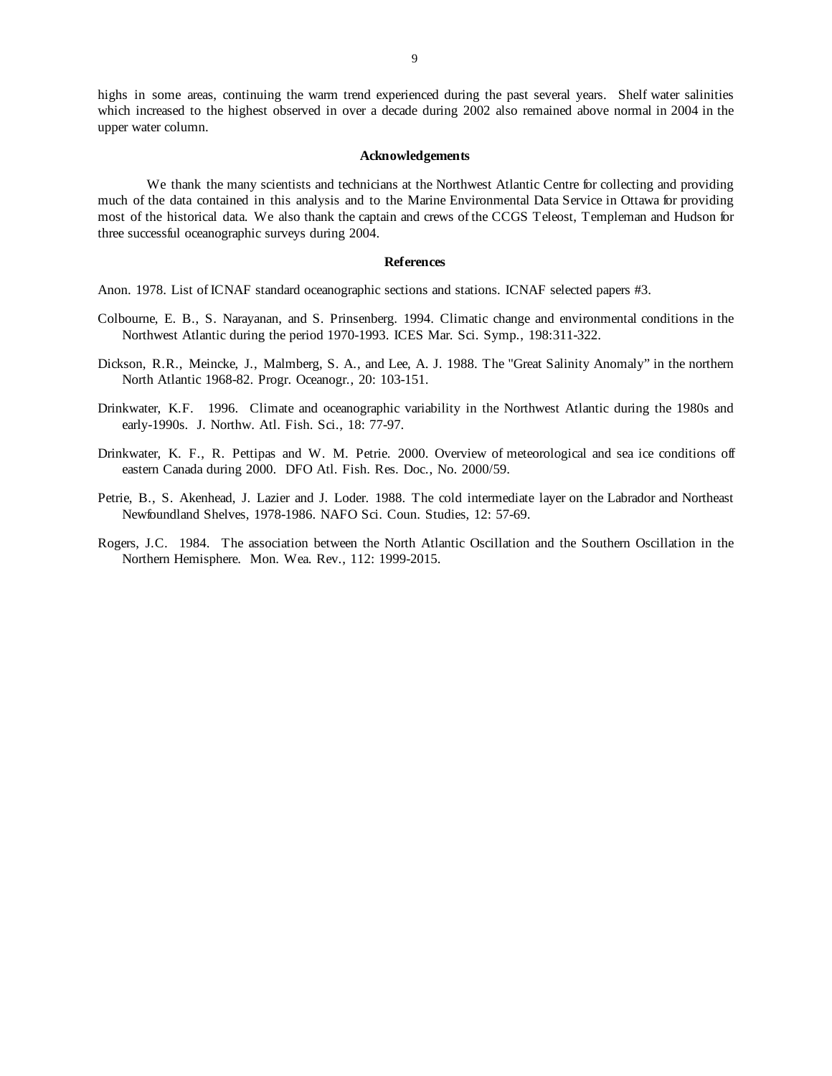highs in some areas, continuing the warm trend experienced during the past several years. Shelf water salinities which increased to the highest observed in over a decade during 2002 also remained above normal in 2004 in the upper water column.

# **Acknowledgements**

We thank the many scientists and technicians at the Northwest Atlantic Centre for collecting and providing much of the data contained in this analysis and to the Marine Environmental Data Service in Ottawa for providing most of the historical data. We also thank the captain and crews of the CCGS Teleost, Templeman and Hudson for three successful oceanographic surveys during 2004.

#### **References**

Anon. 1978. List of ICNAF standard oceanographic sections and stations. ICNAF selected papers #3.

- Colbourne, E. B., S. Narayanan, and S. Prinsenberg. 1994. Climatic change and environmental conditions in the Northwest Atlantic during the period 1970-1993. ICES Mar. Sci. Symp., 198:311-322.
- Dickson, R.R., Meincke, J., Malmberg, S. A., and Lee, A. J. 1988. The "Great Salinity Anomaly" in the northern North Atlantic 1968-82. Progr. Oceanogr., 20: 103-151.
- Drinkwater, K.F. 1996. Climate and oceanographic variability in the Northwest Atlantic during the 1980s and early-1990s. J. Northw. Atl. Fish. Sci., 18: 77-97.
- Drinkwater, K. F., R. Pettipas and W. M. Petrie. 2000. Overview of meteorological and sea ice conditions off eastern Canada during 2000. DFO Atl. Fish. Res. Doc., No. 2000/59.
- Petrie, B., S. Akenhead, J. Lazier and J. Loder. 1988. The cold intermediate layer on the Labrador and Northeast Newfoundland Shelves, 1978-1986. NAFO Sci. Coun. Studies, 12: 57-69.
- Rogers, J.C. 1984. The association between the North Atlantic Oscillation and the Southern Oscillation in the Northern Hemisphere. Mon. Wea. Rev., 112: 1999-2015.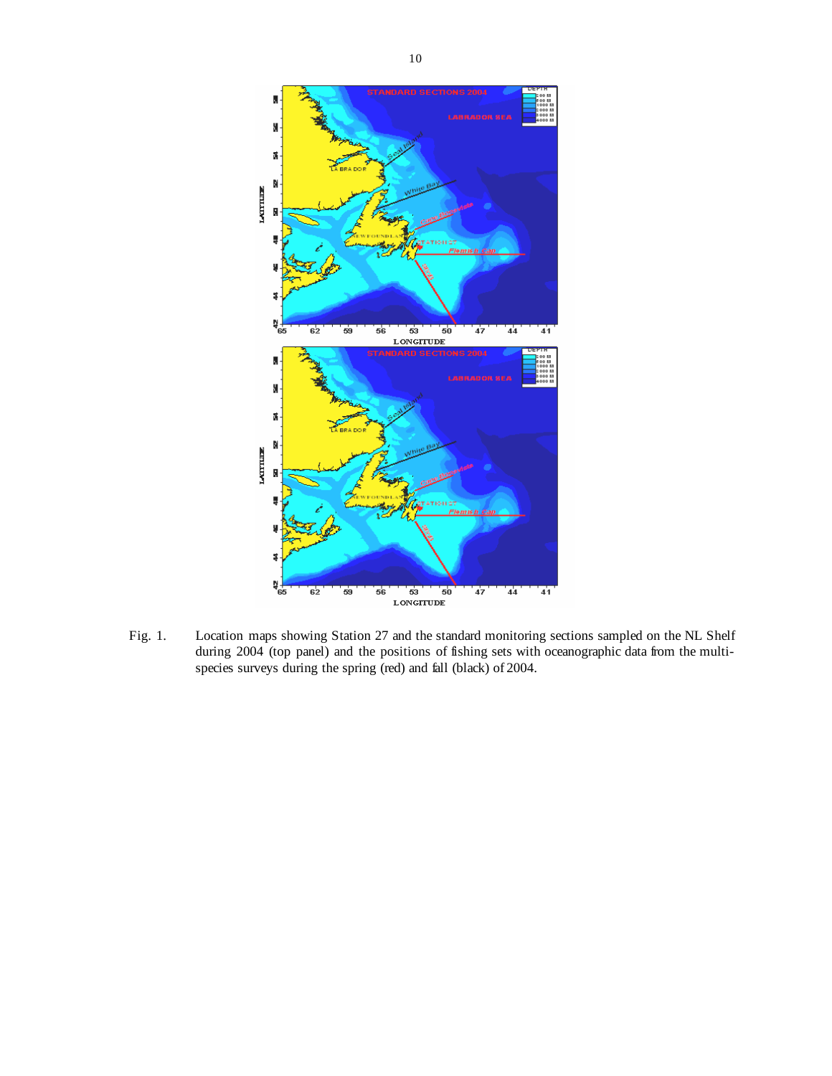

Fig. 1. Location maps showing Station 27 and the standard monitoring sections sampled on the NL Shelf during 2004 (top panel) and the positions of fishing sets with oceanographic data from the multispecies surveys during the spring (red) and fall (black) of 2004.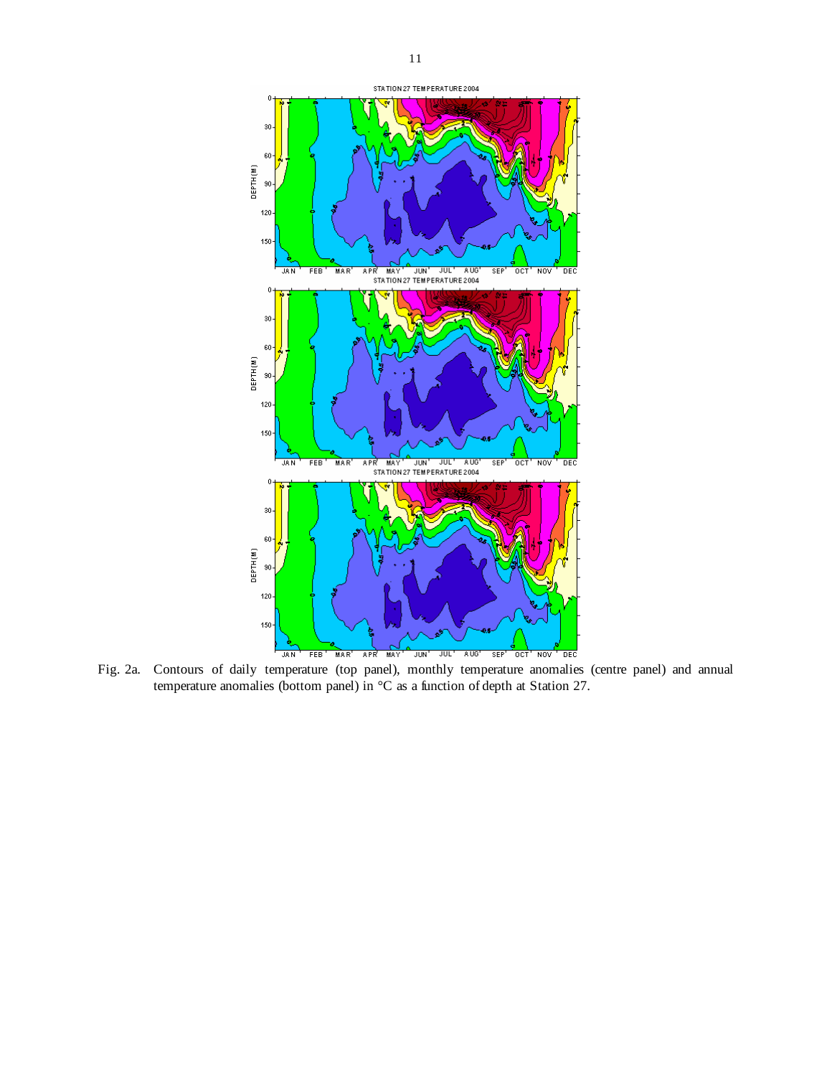

Fig. 2a. Contours of daily temperature (top panel), monthly temperature anomalies (centre panel) and annual temperature anomalies (bottom panel) in  ${}^{\circ}C$  as a function of depth at Station 27.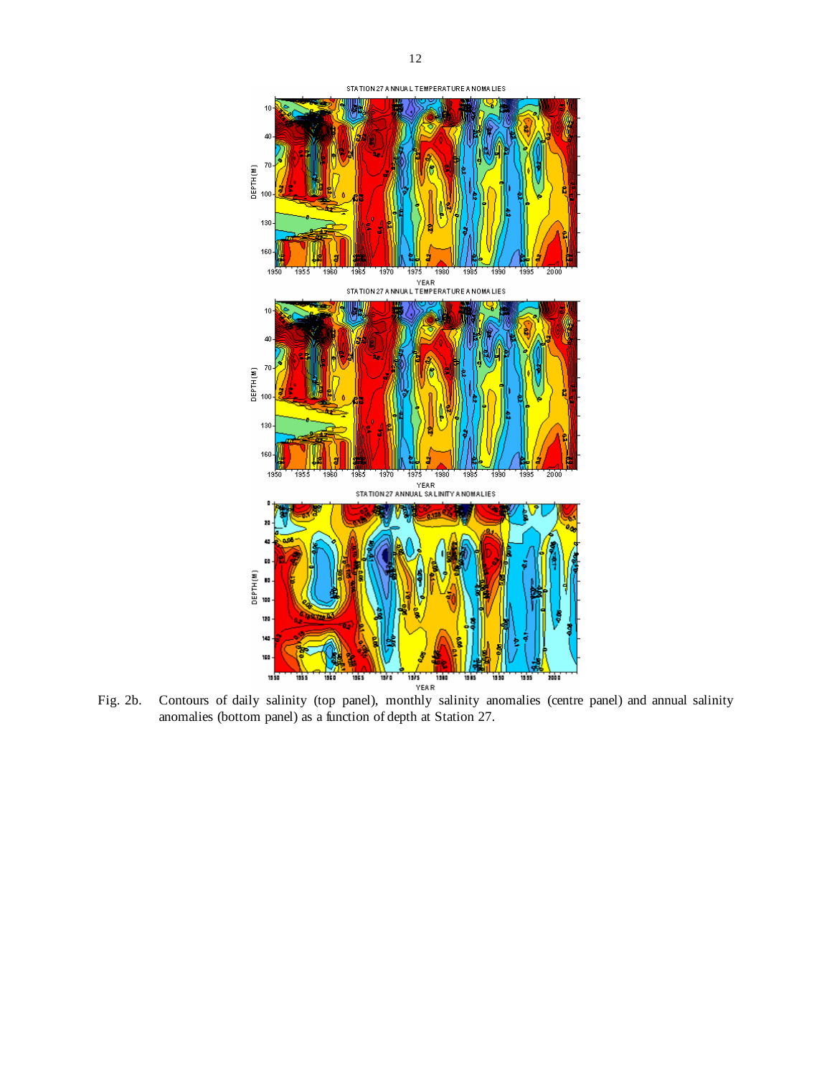

Fig. 2b. Contours of daily salinity (top panel), monthly salinity anomalies (centre panel) and annual salinity anomalies (bottom panel) as a function of depth at Station 27.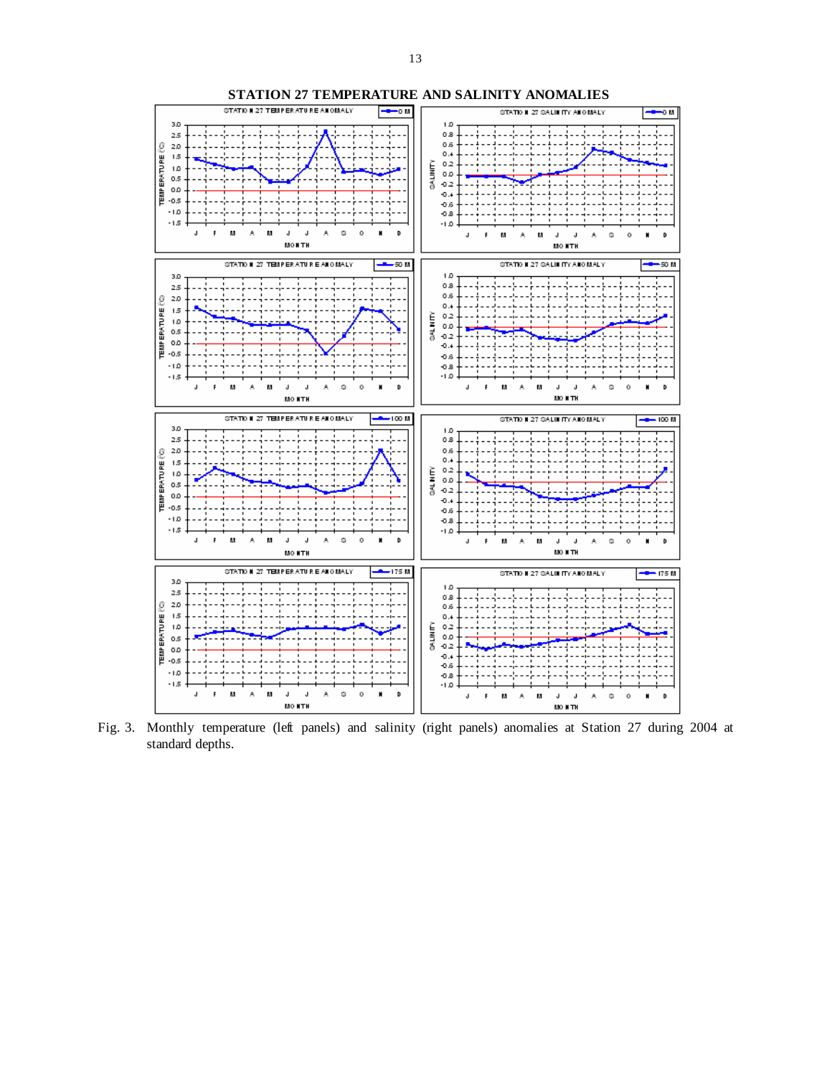

**STATION 27 TEMPERATURE AND SALINITY ANOMALIES** 

Fig. 3. Monthly temperature (left panels) and salinity (right panels) anomalies at Station 27 during 2004 at standard depths.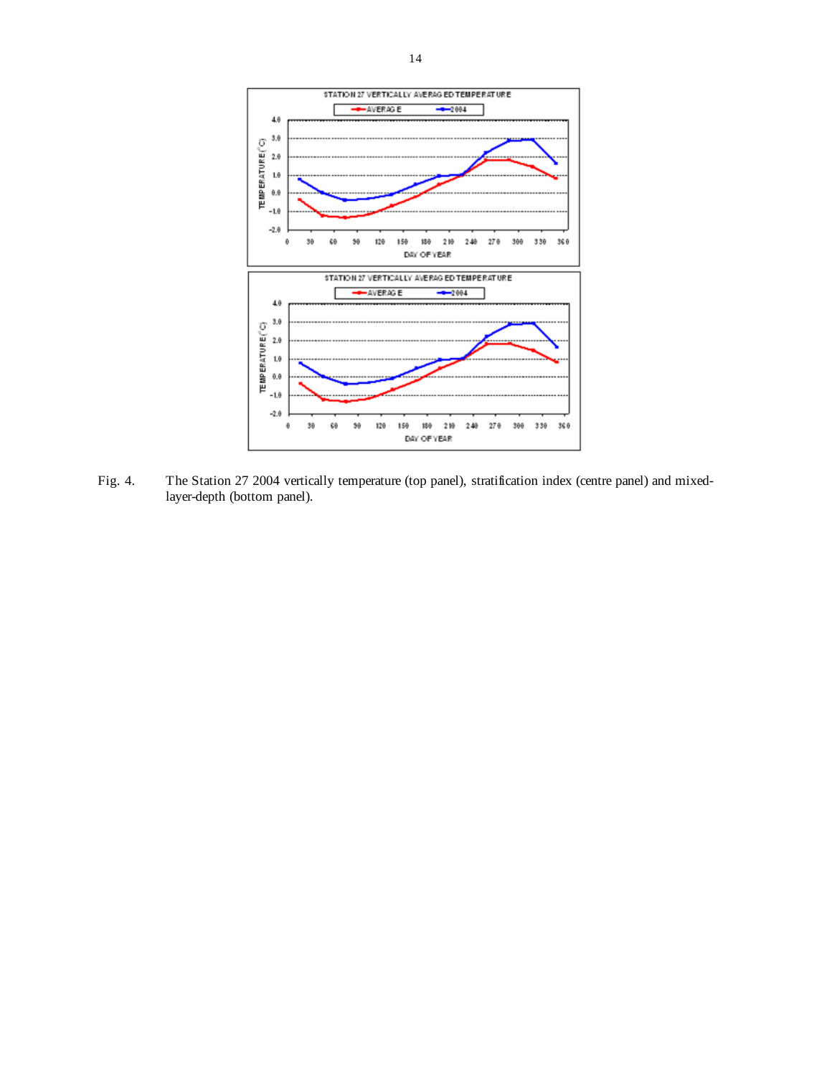

Fig. 4. The Station 27 2004 vertically temperature (top panel), stratification index (centre panel) and mixedlayer-depth (bottom panel).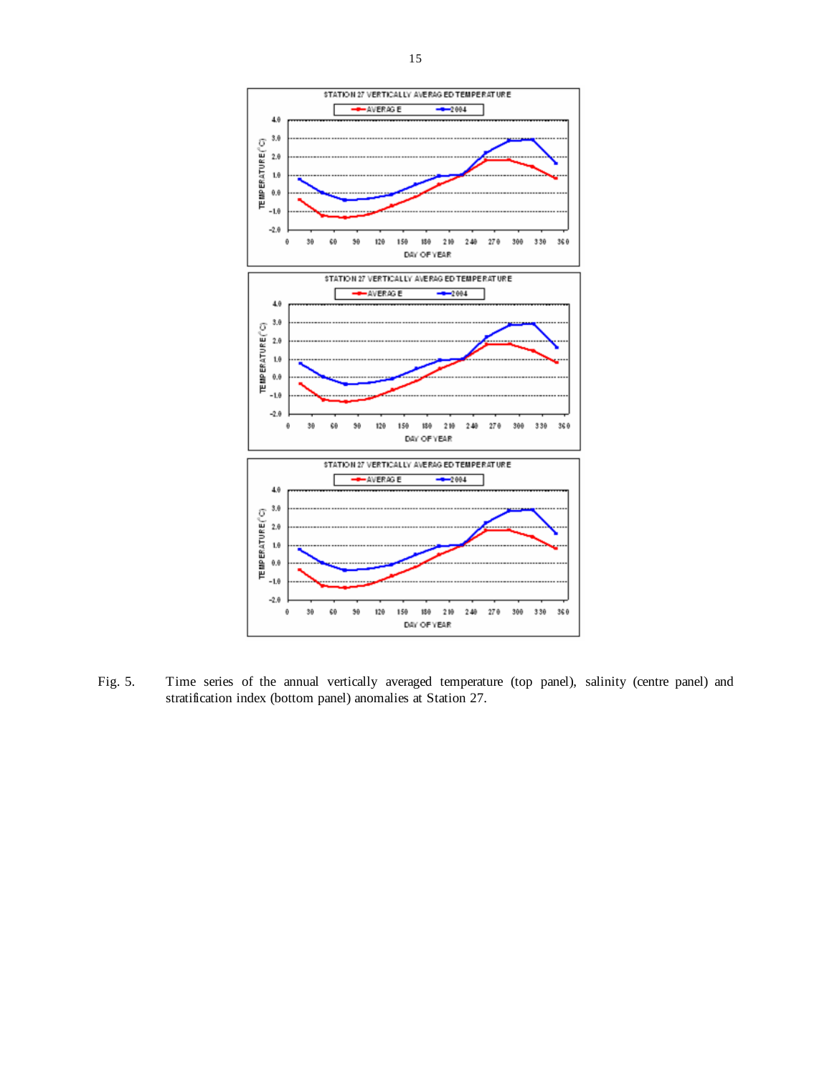

Fig. 5. Time series of the annual vertically averaged temperature (top panel), salinity (centre panel) and stratification index (bottom panel) anomalies at Station 27.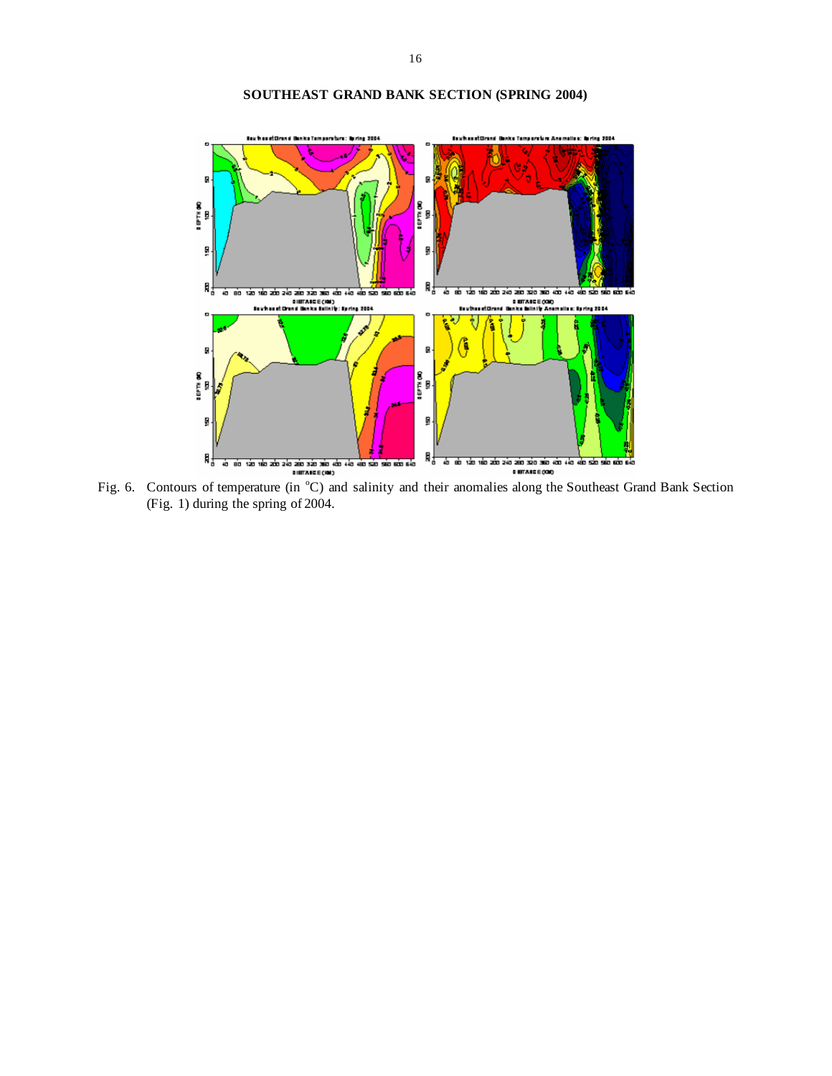

# **SOUTHEAST GRAND BANK SECTION (SPRING 2004)**

Fig. 6. Contours of temperature (in °C) and salinity and their anomalies along the Southeast Grand Bank Section (Fig. 1) during the spring of 2004.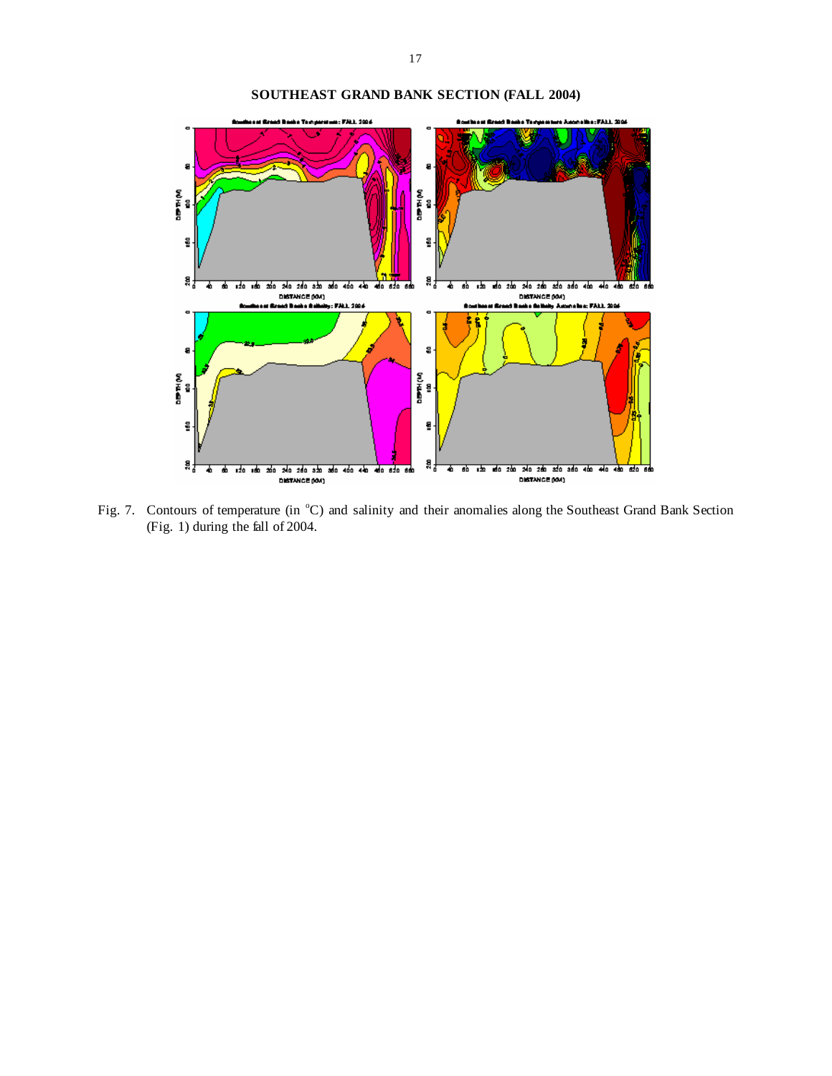

**SOUTHEAST GRAND BANK SECTION (FALL 2004)** 

Fig. 7. Contours of temperature (in  $^{\circ}$ C) and salinity and their anomalies along the Southeast Grand Bank Section (Fig. 1) during the fall of 2004.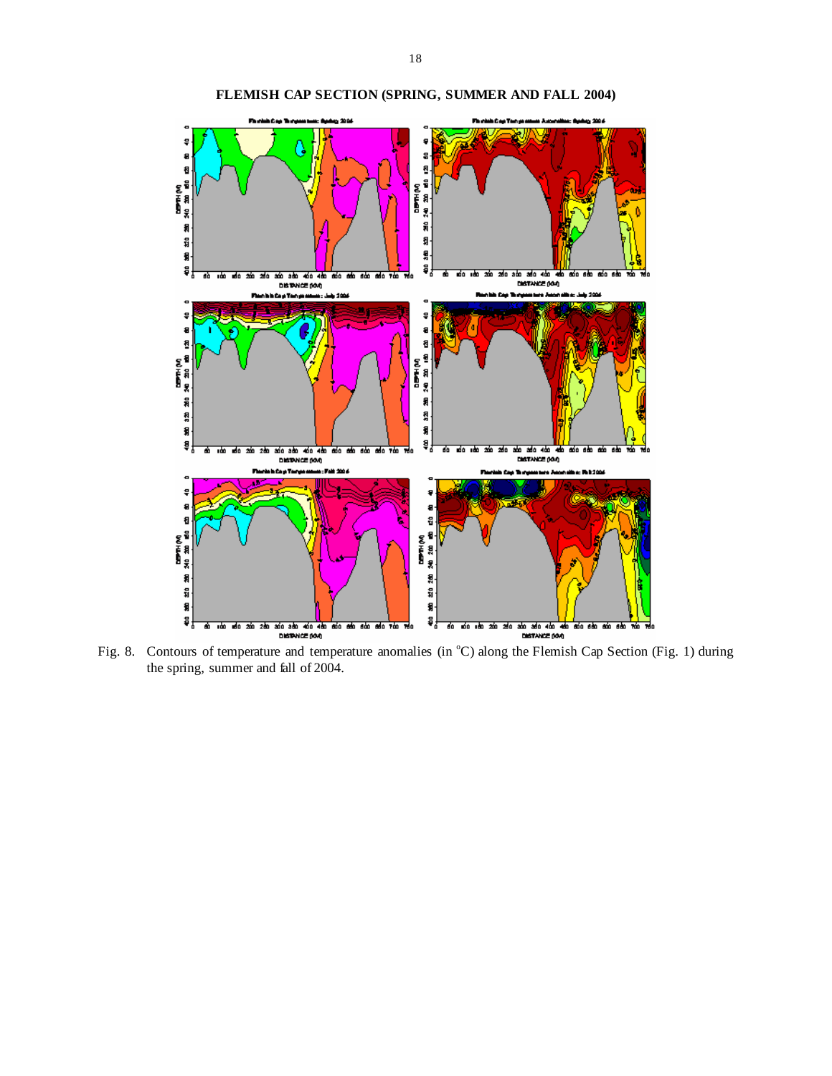

**FLEMISH CAP SECTION (SPRING, SUMMER AND FALL 2004)**

Fig. 8. Contours of temperature and temperature anomalies (in °C) along the Flemish Cap Section (Fig. 1) during the spring, summer and fall of 2004.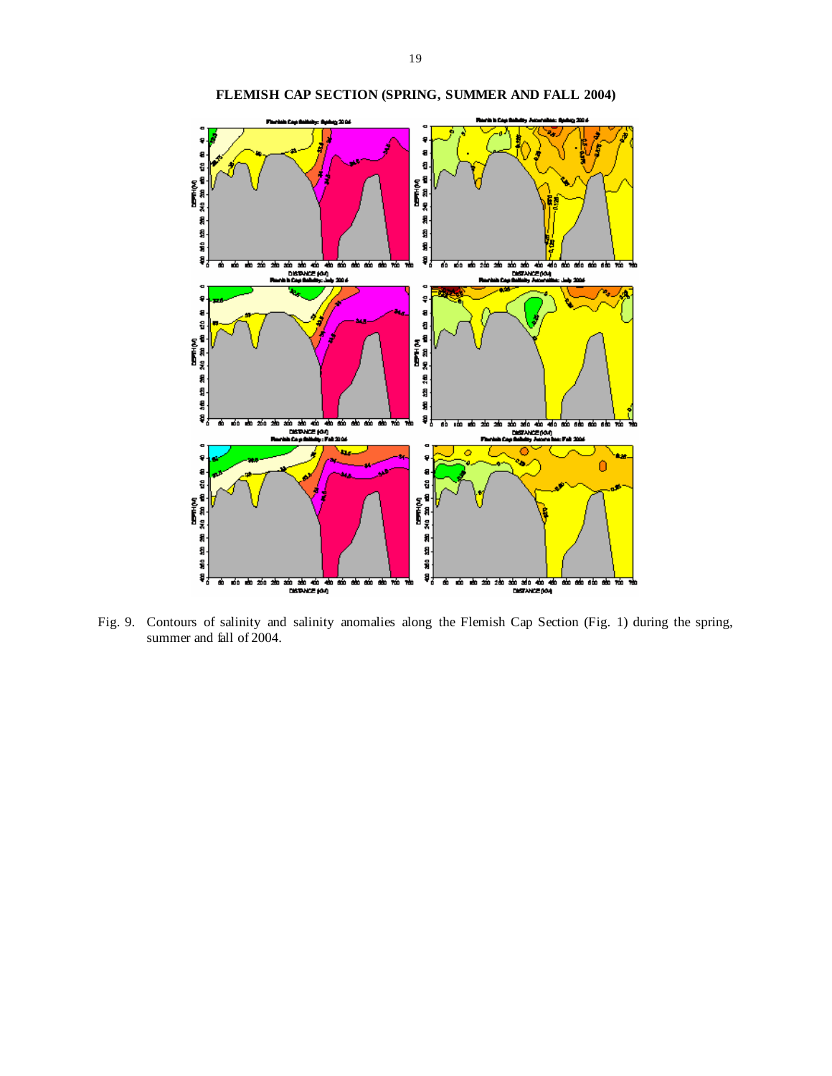

**FLEMISH CAP SECTION (SPRING, SUMMER AND FALL 2004)** 

Fig. 9. Contours of salinity and salinity anomalies along the Flemish Cap Section (Fig. 1) during the spring, summer and fall of 2004.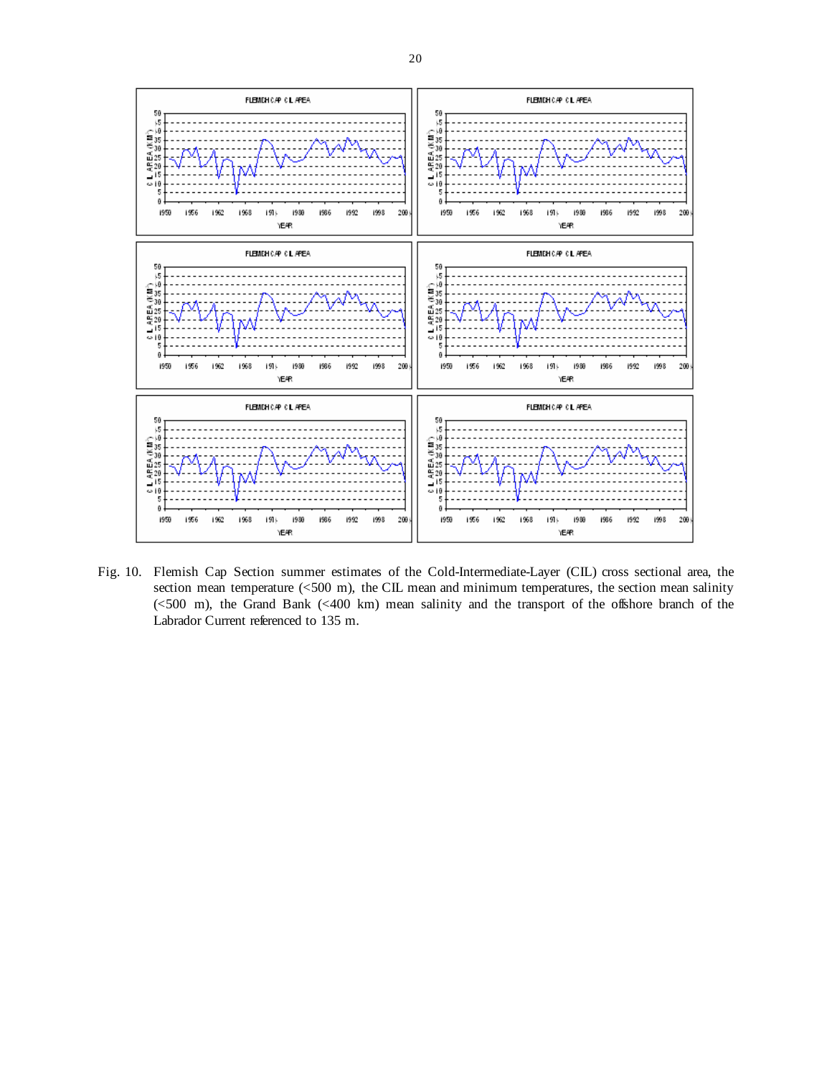

Fig. 10. Flemish Cap Section summer estimates of the Cold-Intermediate-Layer (CIL) cross sectional area, the section mean temperature  $\langle 500 \text{ m} \rangle$ , the CIL mean and minimum temperatures, the section mean salinity (<500 m), the Grand Bank (<400 km) mean salinity and the transport of the offshore branch of the Labrador Current referenced to 135 m.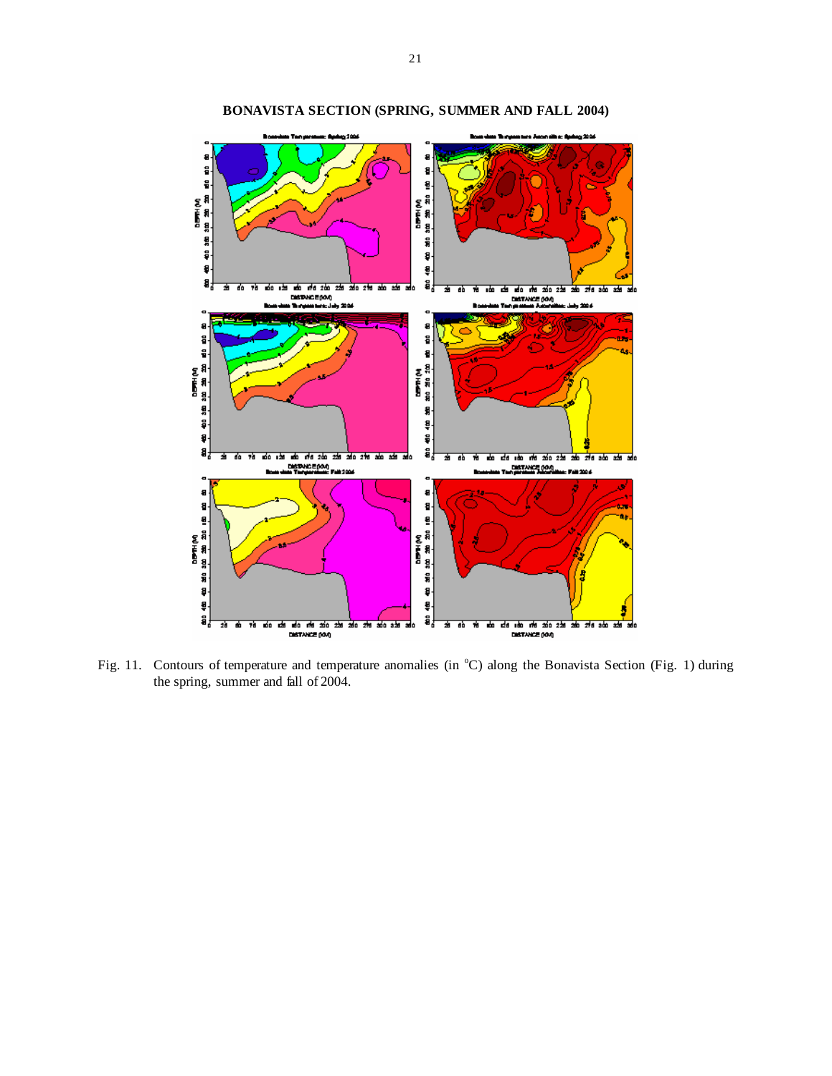

**BONAVISTA SECTION (SPRING, SUMMER AND FALL 2004)** 

Fig. 11. Contours of temperature and temperature anomalies (in  $^{\circ}$ C) along the Bonavista Section (Fig. 1) during the spring, summer and fall of 2004.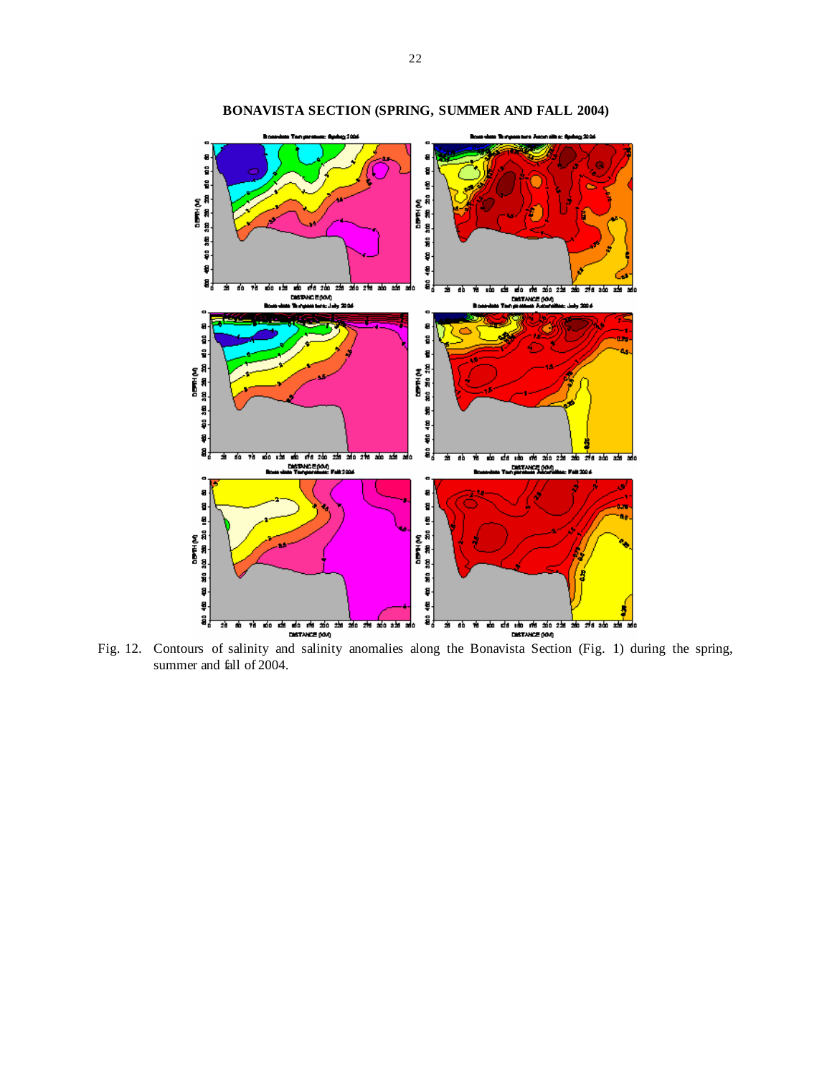

**BONAVISTA SECTION (SPRING, SUMMER AND FALL 2004)** 

Fig. 12. Contours of salinity and salinity anomalies along the Bonavista Section (Fig. 1) during the spring, summer and fall of 2004.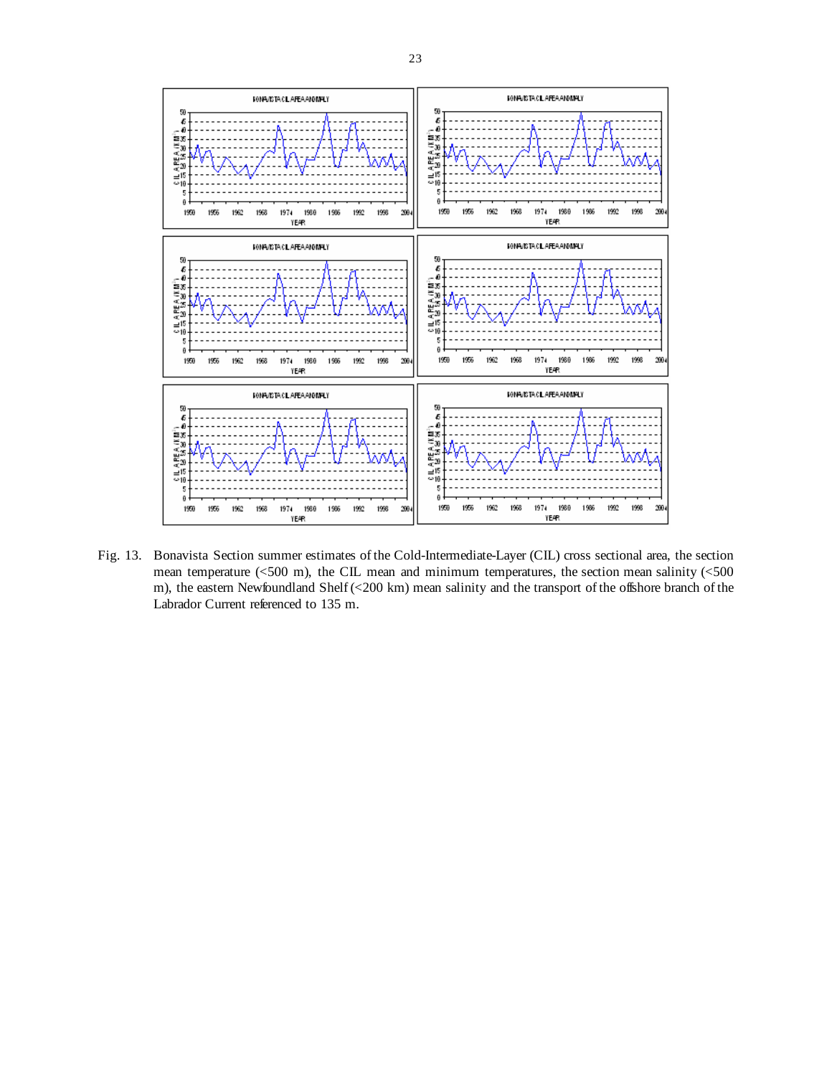

Fig. 13. Bonavista Section summer estimates of the Cold-Intermediate-Layer (CIL) cross sectional area, the section mean temperature (<500 m), the CIL mean and minimum temperatures, the section mean salinity (<500 m), the eastern Newfoundland Shelf (<200 km) mean salinity and the transport of the offshore branch of the Labrador Current referenced to 135 m.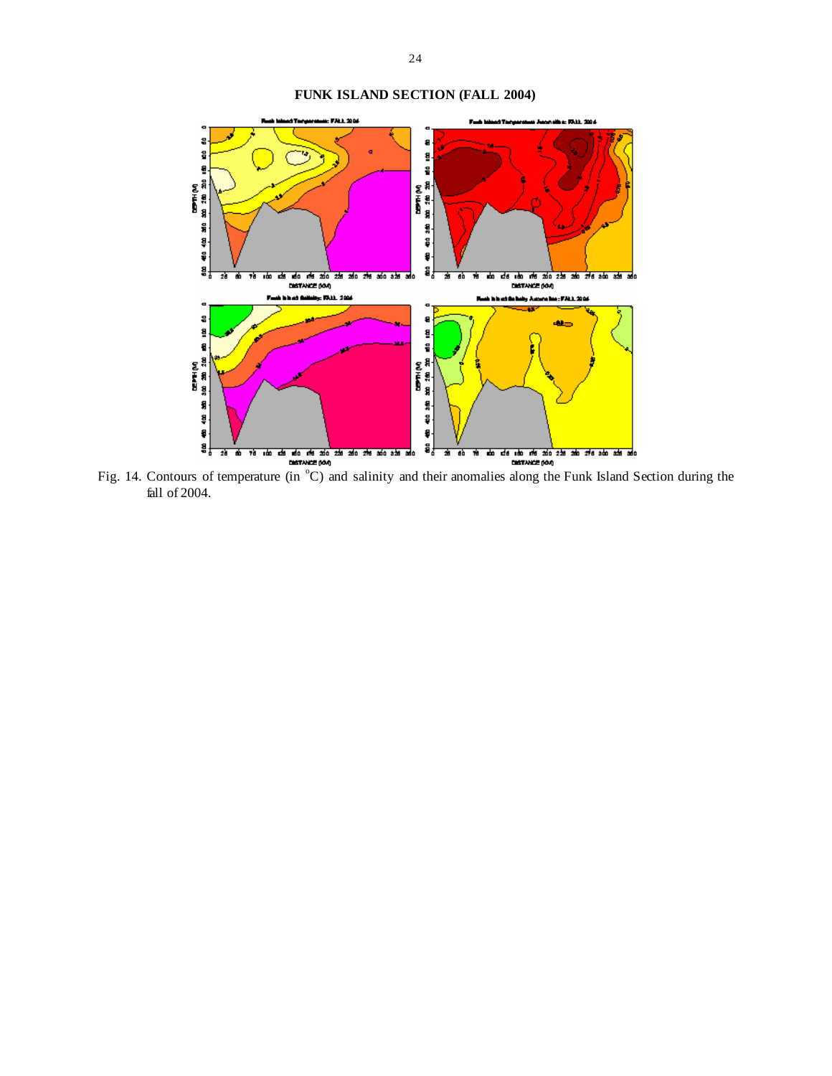

Fig. 14. Contours of temperature (in  $^{\circ}$ C) and salinity and their anomalies along the Funk Island Section during the fall of 2004.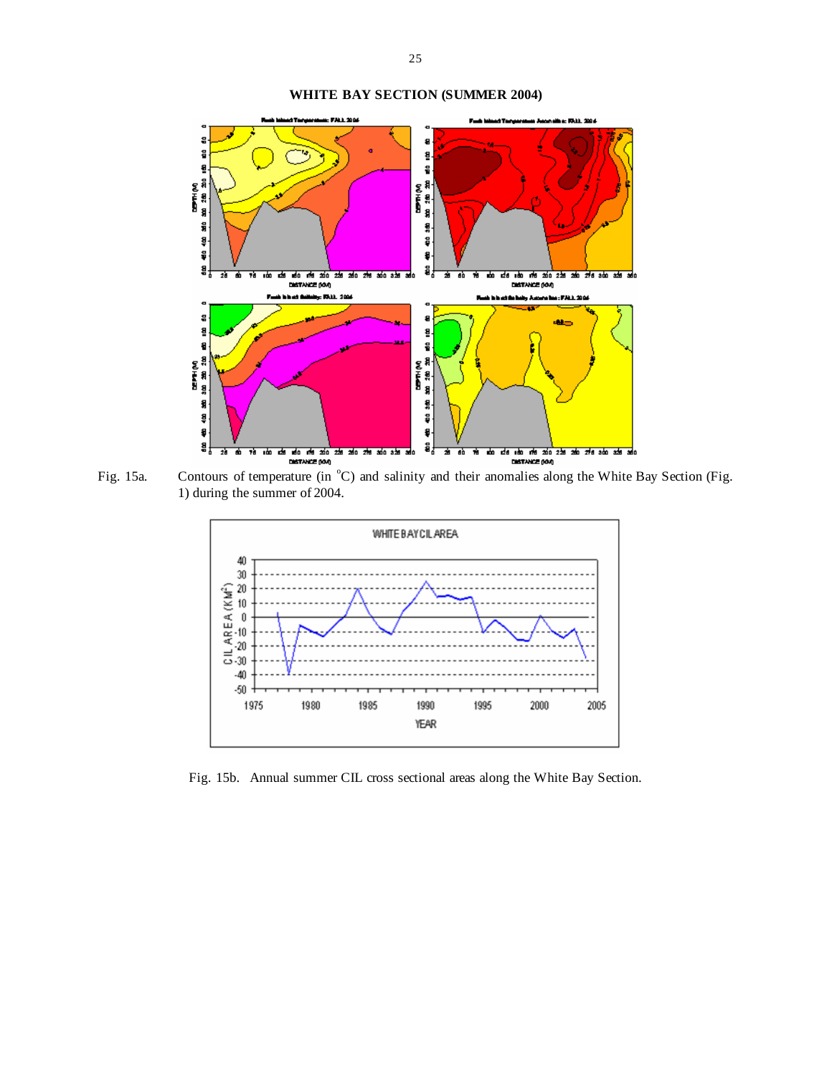# **WHITE BAY SECTION (SUMMER 2004)**



Fig. 15a. Contours of temperature (in °C) and salinity and their anomalies along the White Bay Section (Fig. 1) during the summer of 2004.



Fig. 15b. Annual summer CIL cross sectional areas along the White Bay Section.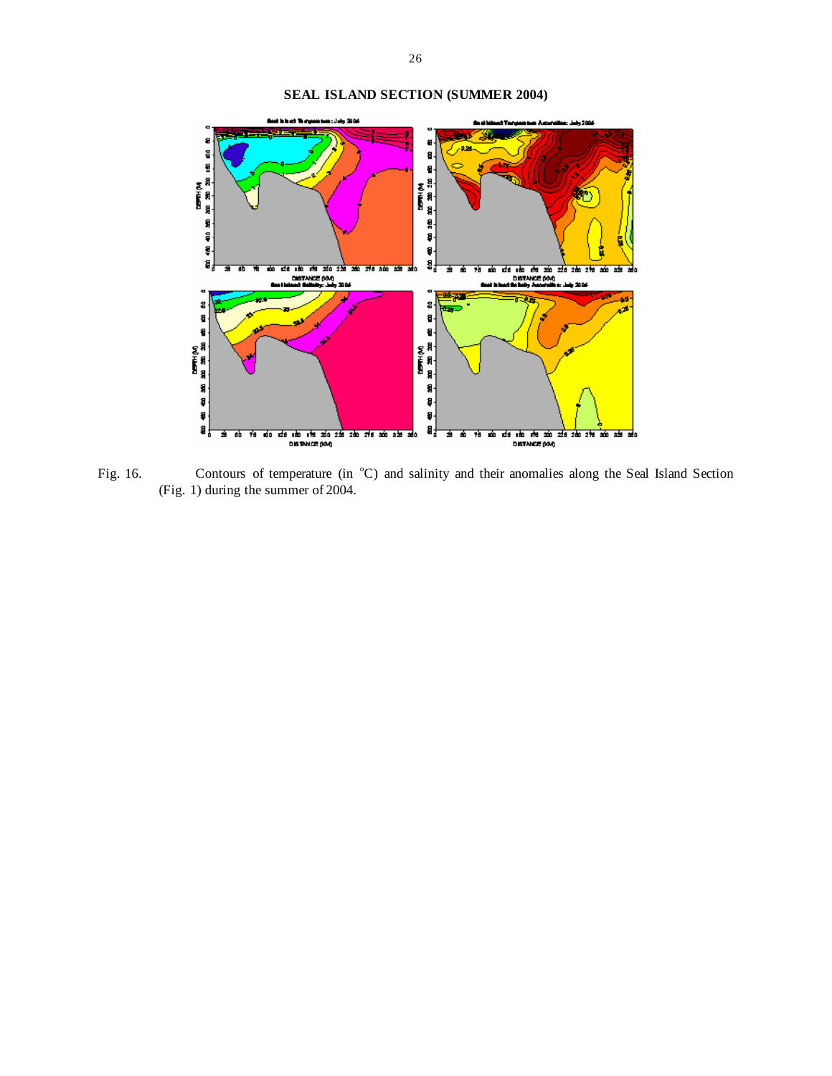# **SEAL ISLAND SECTION (SUMMER 2004)**



Fig. 16. Contours of temperature (in  $^{\circ}$ C) and salinity and their anomalies along the Seal Island Section (Fig. 1) during the summer of 2004.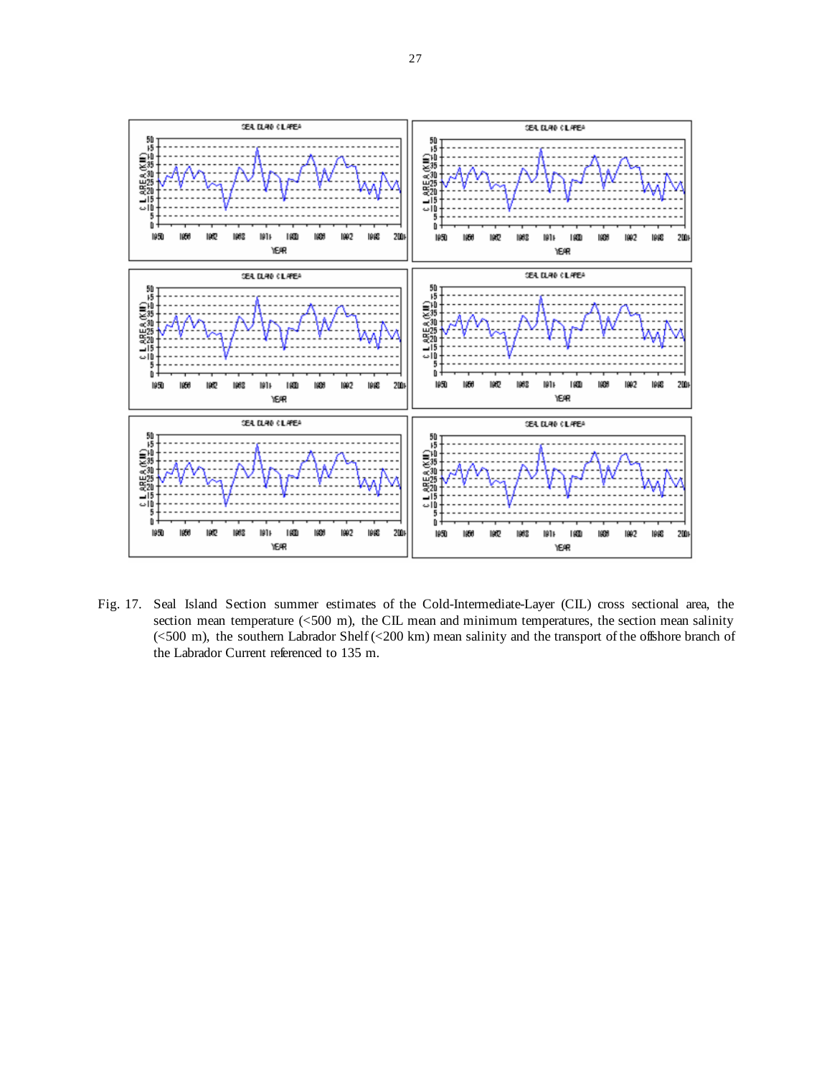

Fig. 17. Seal Island Section summer estimates of the Cold-Intermediate-Layer (CIL) cross sectional area, the section mean temperature (<500 m), the CIL mean and minimum temperatures, the section mean salinity (<500 m), the southern Labrador Shelf (<200 km) mean salinity and the transport of the offshore branch of the Labrador Current referenced to 135 m.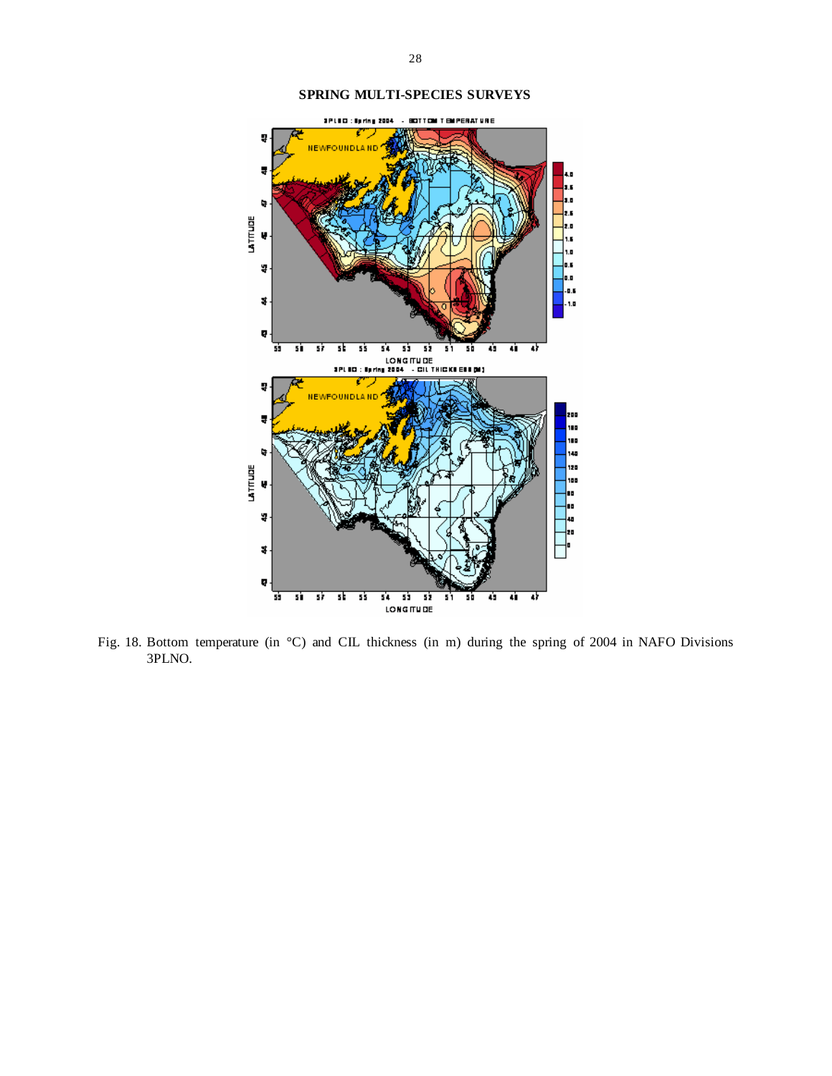

## **SPRING MULTI-SPECIES SURVEYS**

Fig. 18. Bottom temperature (in °C) and CIL thickness (in m) during the spring of 2004 in NAFO Divisions 3PLNO.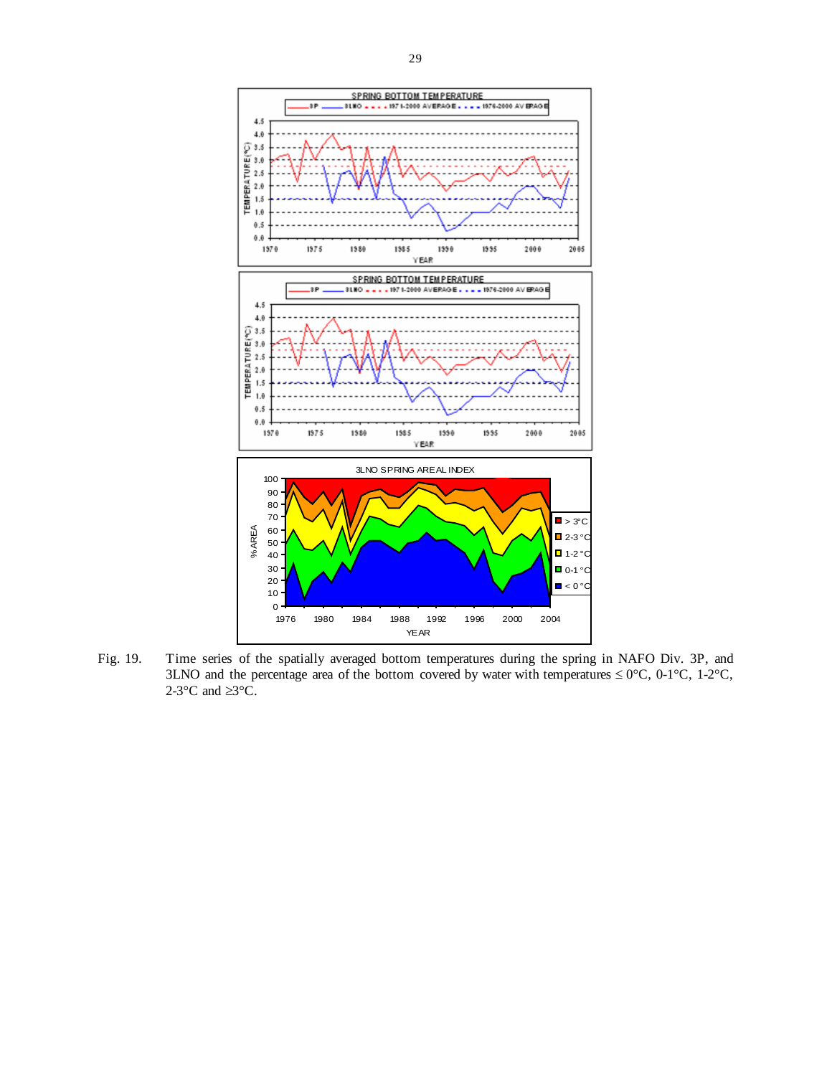

Fig. 19. Time series of the spatially averaged bottom temperatures during the spring in NAFO Div. 3P, and 3LNO and the percentage area of the bottom covered by water with temperatures  $\leq 0^{\circ}$ C, 0-1°C, 1-2°C, 2-3 $\mathrm{^{\circ}C}$  and  $\geq$ 3 $\mathrm{^{\circ}C}$ .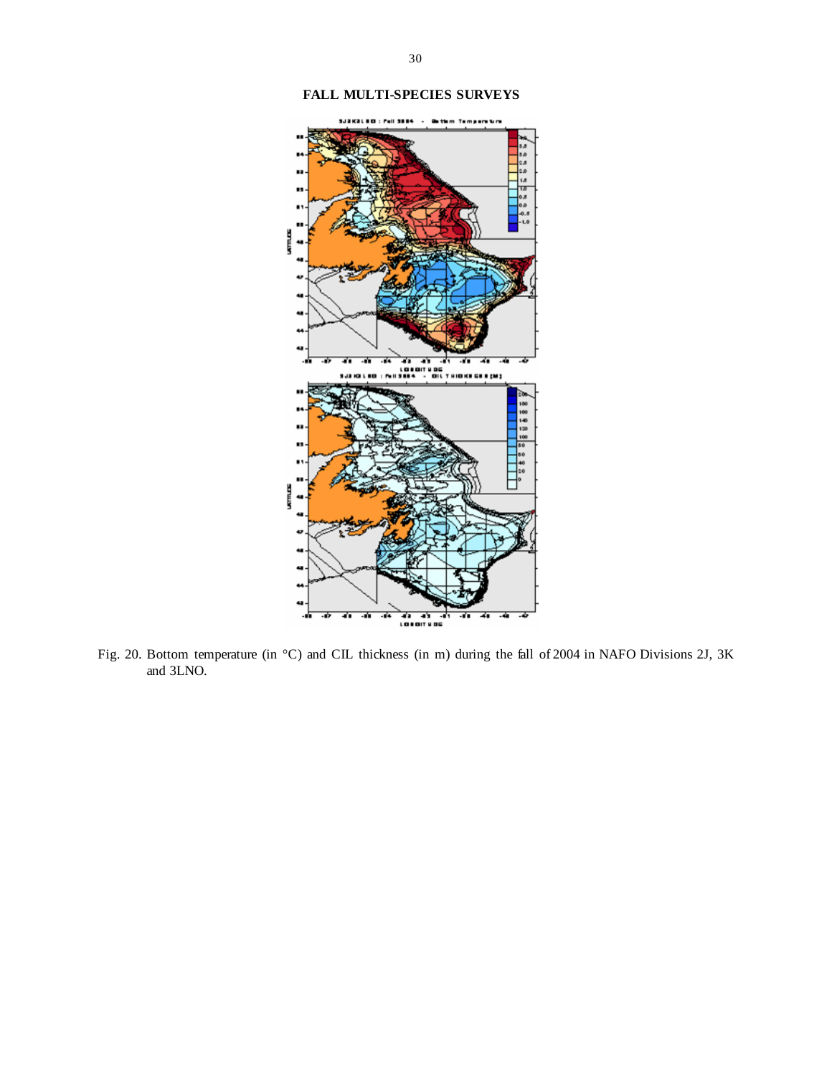

## **FALL MULTI-SPECIES SURVEYS**

Fig. 20. Bottom temperature (in °C) and CIL thickness (in m) during the fall of 2004 in NAFO Divisions 2J, 3K and 3LNO.